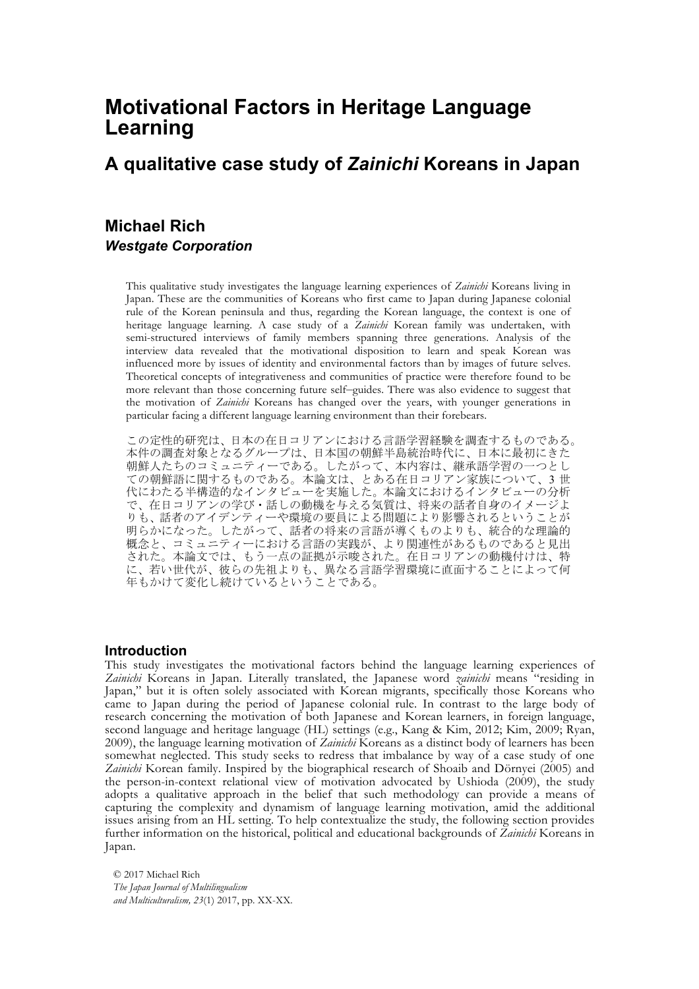# **Motivational Factors in Heritage Language Learning**

# **A qualitative case study of** *Zainichi* **Koreans in Japan**

# **Michael Rich** *Westgate Corporation*

This qualitative study investigates the language learning experiences of *Zainichi* Koreans living in Japan. These are the communities of Koreans who first came to Japan during Japanese colonial rule of the Korean peninsula and thus, regarding the Korean language, the context is one of heritage language learning. A case study of a *Zainichi* Korean family was undertaken, with semi-structured interviews of family members spanning three generations. Analysis of the interview data revealed that the motivational disposition to learn and speak Korean was influenced more by issues of identity and environmental factors than by images of future selves. Theoretical concepts of integrativeness and communities of practice were therefore found to be more relevant than those concerning future self–guides. There was also evidence to suggest that the motivation of *Zainichi* Koreans has changed over the years, with younger generations in particular facing a different language learning environment than their forebears.

この定性的研究は、日本の在日コリアンにおける言語学習経験を調査するものである。 本件の調査対象となるグループは、日本国の朝鮮半島統治時代に、日本に最初にきた 朝鮮人たちのコミュニティーである。したがって、本内容は、継承語学習の一つとし ての朝鮮語に関するものである。本論文は、とある在日コリアン家族について、3 世 代にわたる半構造的なインタビューを実施した。本論文におけるインタビューの分析 で、在日コリアンの学び・話しの動機を与える気質は、将来の話者自身のイメージよ りも、話者のアイデンティーや環境の要員による問題により影響されるということが 明らかになった。したがって、話者の将来の言語が導くものよりも、統合的な理論的 概念と、コミュニティーにおける言語の実践が、より関連性があるものであると見出 された。本論文では、もう一点の証拠が示唆された。在日コリアンの動機付けは、特 に、若い世代が、彼らの先祖よりも、異なる言語学習環境に直面することによって何 年もかけて変化し続けているということである。

## **Introduction**

This study investigates the motivational factors behind the language learning experiences of *Zainichi* Koreans in Japan. Literally translated, the Japanese word *zainichi* means "residing in Japan," but it is often solely associated with Korean migrants, specifically those Koreans who came to Japan during the period of Japanese colonial rule. In contrast to the large body of research concerning the motivation of both Japanese and Korean learners, in foreign language, second language and heritage language (HL) settings (e.g., Kang & Kim, 2012; Kim, 2009; Ryan, 2009), the language learning motivation of *Zainichi* Koreans as a distinct body of learners has been somewhat neglected. This study seeks to redress that imbalance by way of a case study of one *Zainichi* Korean family. Inspired by the biographical research of Shoaib and Dörnyei (2005) and the person-in-context relational view of motivation advocated by Ushioda (2009), the study adopts a qualitative approach in the belief that such methodology can provide a means of capturing the complexity and dynamism of language learning motivation, amid the additional issues arising from an HL setting. To help contextualize the study, the following section provides further information on the historical, political and educational backgrounds of *Zainichi* Koreans in Japan.

© 2017 Michael Rich *The Japan Journal of Multilingualism and Multiculturalism, 23*(1) 2017, pp. XX-XX.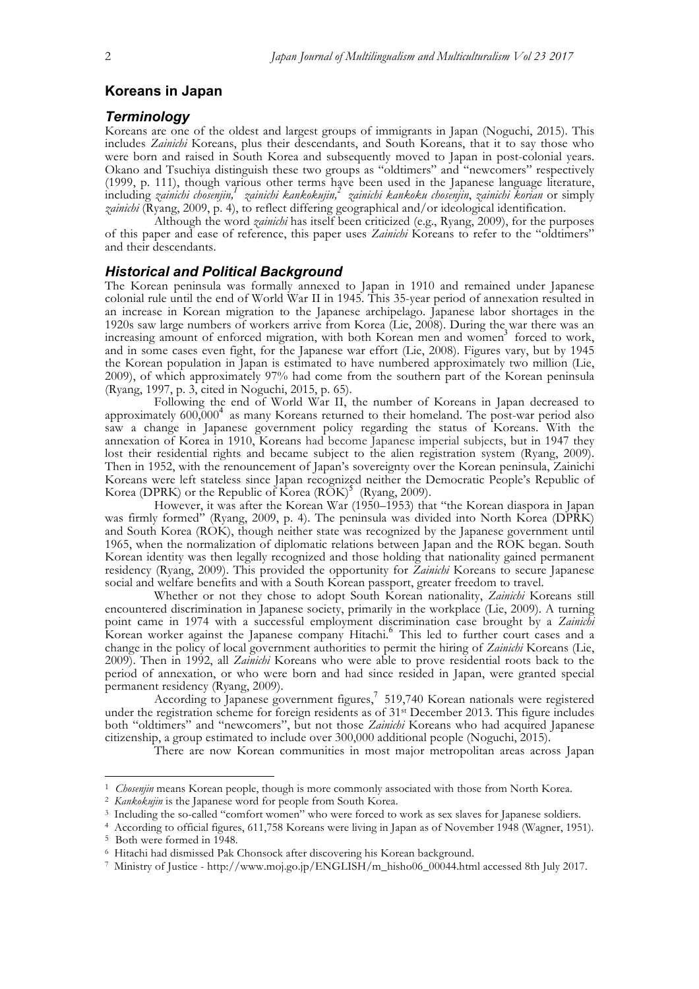# **Koreans in Japan**

#### *Terminology*

Koreans are one of the oldest and largest groups of immigrants in Japan (Noguchi, 2015). This includes *Zainichi* Koreans, plus their descendants, and South Koreans, that it to say those who were born and raised in South Korea and subsequently moved to Japan in post-colonial years. Okano and Tsuchiya distinguish these two groups as "oldtimers" and "newcomers" respectively (1999, p. 111), though various other terms have been used in the Japanese language literature, including *zainichi chosenjin,<sup>1</sup> zainichi kankokujin,<sup>2</sup> zainichi kankoku chosenjin*, *zainichi korian* or simply *zainichi* (Ryang, 2009, p. 4), to reflect differing geographical and/or ideological identification.

Although the word *zainichi* has itself been criticized (e.g., Ryang, 2009), for the purposes of this paper and ease of reference, this paper uses *Zainichi* Koreans to refer to the "oldtimers" and their descendants.

## *Historical and Political Background*

The Korean peninsula was formally annexed to Japan in 1910 and remained under Japanese colonial rule until the end of World War II in 1945. This 35-year period of annexation resulted in an increase in Korean migration to the Japanese archipelago. Japanese labor shortages in the 1920s saw large numbers of workers arrive from Korea (Lie, 2008). During the war there was an increasing amount of enforced migration, with both Korean men and women<sup>3</sup> forced to work, and in some cases even fight, for the Japanese war effort (Lie, 2008). Figures vary, but by 1945 the Korean population in Japan is estimated to have numbered approximately two million (Lie, 2009), of which approximately 97% had come from the southern part of the Korean peninsula (Ryang, 1997, p. 3, cited in Noguchi, 2015, p. 65).

Following the end of World War II, the number of Koreans in Japan decreased to approximately  $600,000^4$  as many Koreans returned to their homeland. The post-war period also saw a change in Japanese government policy regarding the status of Koreans. With the annexation of Korea in 1910, Koreans had become Japanese imperial subjects, but in 1947 they lost their residential rights and became subject to the alien registration system (Ryang, 2009). Then in 1952, with the renouncement of Japan's sovereignty over the Korean peninsula, Zainichi Koreans were left stateless since Japan recognized neither the Democratic People's Republic of Korea (DPRK) or the Republic of  $\rm\overline{K}$ orea (ROK)<sup>5</sup> (Ryang, 2009).

However, it was after the Korean War (1950–1953) that "the Korean diaspora in Japan was firmly formed" (Ryang, 2009, p. 4). The peninsula was divided into North Korea (DPRK) and South Korea (ROK), though neither state was recognized by the Japanese government until 1965, when the normalization of diplomatic relations between Japan and the ROK began. South Korean identity was then legally recognized and those holding that nationality gained permanent residency (Ryang, 2009). This provided the opportunity for *Zainichi* Koreans to secure Japanese social and welfare benefits and with a South Korean passport, greater freedom to travel.

Whether or not they chose to adopt South Korean nationality, *Zainichi* Koreans still encountered discrimination in Japanese society, primarily in the workplace (Lie, 2009). A turning point came in 1974 with a successful employment discrimination case brought by a *Zainichi* Korean worker against the Japanese company Hitachi.<sup>6</sup> This led to further court cases and a change in the policy of local government authorities to permit the hiring of *Zainichi* Koreans (Lie, 2009). Then in 1992, all *Zainichi* Koreans who were able to prove residential roots back to the period of annexation, or who were born and had since resided in Japan, were granted special permanent residency (Ryang, 2009).

According to Japanese government figures,<sup>7</sup> 519,740 Korean nationals were registered under the registration scheme for foreign residents as of 31st December 2013. This figure includes both "oldtimers" and "newcomers", but not those *Zainichi* Koreans who had acquired Japanese citizenship, a group estimated to include over 300,000 additional people (Noguchi, 2015).

There are now Korean communities in most major metropolitan areas across Japan

<sup>1</sup> *Chosenjin* means Korean people, though is more commonly associated with those from North Korea. 2 *Kankokujin* is the Japanese word for people from South Korea.

<sup>3</sup> Including the so-called "comfort women" who were forced to work as sex slaves for Japanese soldiers.

<sup>4</sup> According to official figures, 611,758 Koreans were living in Japan as of November 1948 (Wagner, 1951).

<sup>5</sup> Both were formed in 1948.

<sup>6</sup> Hitachi had dismissed Pak Chonsock after discovering his Korean background.

<sup>7</sup> Ministry of Justice - http://www.moj.go.jp/ENGLISH/m\_hisho06\_00044.html accessed 8th July 2017.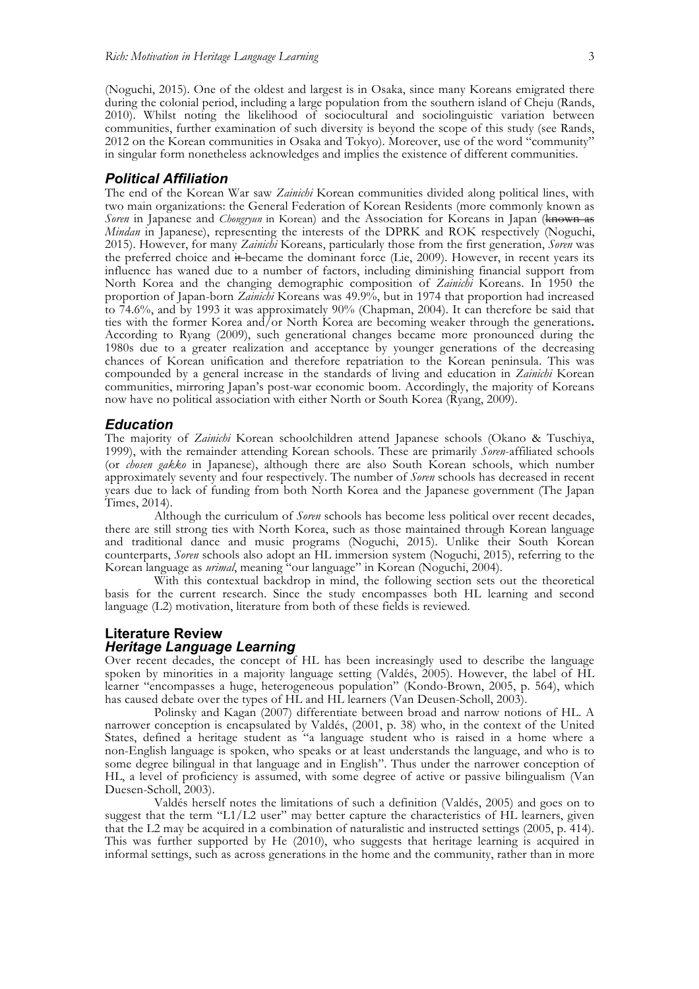(Noguchi, 2015). One of the oldest and largest is in Osaka, since many Koreans emigrated there during the colonial period, including a large population from the southern island of Cheju (Rands, 2010). Whilst noting the likelihood of sociocultural and sociolinguistic variation between communities, further examination of such diversity is beyond the scope of this study (see Rands, 2012 on the Korean communities in Osaka and Tokyo). Moreover, use of the word "community" in singular form nonetheless acknowledges and implies the existence of different communities.

#### *Political Affiliation*

The end of the Korean War saw *Zainichi* Korean communities divided along political lines, with two main organizations: the General Federation of Korean Residents (more commonly known as *Soren* in Japanese and *Chongryun* in Korean) and the Association for Koreans in Japan (known as *Mindan* in Japanese), representing the interests of the DPRK and ROK respectively (Noguchi, 2015). However, for many *Zainichi* Koreans, particularly those from the first generation, *Soren* was the preferred choice and it became the dominant force (Lie, 2009). However, in recent years its influencehas waned due to a number of factors, including diminishing financial support from North Korea and the changing demographic composition of *Zainichi* Koreans. In 1950 the proportion of Japan-born *Zainichi* Koreans was 49.9%, but in 1974 that proportion had increased to 74.6%, and by 1993 it was approximately 90% (Chapman, 2004). It can therefore be said that ties with the former Korea and/or North Korea are becoming weaker through the generations**.**  According to Ryang (2009), such generational changes became more pronounced during the 1980s due to a greater realization and acceptance by younger generations of the decreasing chances of Korean unification and therefore repatriation to the Korean peninsula. This was compounded by a general increase in the standards of living and education in *Zainichi* Korean communities, mirroring Japan's post-war economic boom. Accordingly, the majority of Koreans now have no political association with either North or South Korea (Ryang, 2009).

#### *Education*

The majority of *Zainichi* Korean schoolchildren attend Japanese schools (Okano & Tuschiya, 1999), with the remainder attending Korean schools. These are primarily *Soren*-affiliated schools (or *chosen gakko* in Japanese), although there are also South Korean schools, which number approximately seventy and four respectively. The number of *Soren* schools has decreased in recent years due to lack of funding from both North Korea and the Japanese government (The Japan Times, 2014).

Although the curriculum of *Soren* schools has become less political over recent decades, there are still strong ties with North Korea, such as those maintained through Korean language and traditional dance and music programs (Noguchi, 2015). Unlike their South Korean counterparts, *Soren* schools also adopt an HL immersion system (Noguchi, 2015), referring to the Korean language as *urimal*, meaning "our language" in Korean (Noguchi, 2004).

With this contextual backdrop in mind, the following section sets out the theoretical basis for the current research. Since the study encompasses both HL learning and second language (L2) motivation, literature from both of these fields is reviewed.

## **Literature Review** *Heritage Language Learning*

Over recent decades, the concept of HL has been increasingly used to describe the language spoken by minorities in a majority language setting (Valdés, 2005). However, the label of HL learner "encompasses a huge, heterogeneous population" (Kondo-Brown, 2005, p. 564), which has caused debate over the types of HL and HL learners (Van Deusen-Scholl, 2003).

Polinsky and Kagan (2007) differentiate between broad and narrow notions of HL. A narrower conception is encapsulated by Valdés, (2001, p. 38) who, in the context of the United States, defined a heritage student as "a language student who is raised in a home where a non-English language is spoken, who speaks or at least understands the language, and who is to some degree bilingual in that language and in English". Thus under the narrower conception of HL, a level of proficiency is assumed, with some degree of active or passive bilingualism (Van Duesen-Scholl, 2003).

Valdés herself notes the limitations of such a definition (Valdés, 2005) and goes on to suggest that the term "L1/L2 user" may better capture the characteristics of HL learners, given that the L2 may be acquired in a combination of naturalistic and instructed settings (2005, p. 414). This was further supported by He (2010), who suggests that heritage learning is acquired in informal settings, such as across generations in the home and the community, rather than in more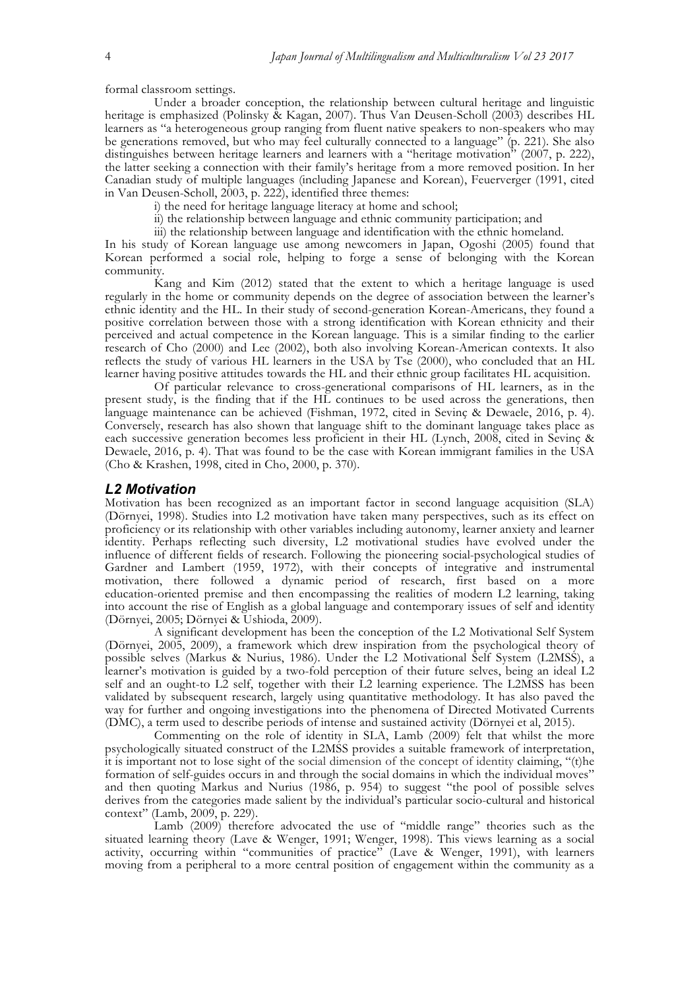formal classroom settings.

Under a broader conception, the relationship between cultural heritage and linguistic heritage is emphasized (Polinsky & Kagan, 2007). Thus Van Deusen-Scholl (2003) describes HL learners as "a heterogeneous group ranging from fluent native speakers to non-speakers who may be generations removed, but who may feel culturally connected to a language" (p. 221). She also distinguishes between heritage learners and learners with a "heritage motivation" (2007, p. 222), the latter seeking a connection with their family's heritage from a more removed position. In her Canadian study of multiple languages (including Japanese and Korean), Feuerverger (1991, cited in Van Deusen-Scholl, 2003, p. 222), identified three themes:

i) the need for heritage language literacy at home and school;

- ii) the relationship between language and ethnic community participation; and
- iii) the relationship between language and identification with the ethnic homeland.

In his study of Korean language use among newcomers in Japan, Ogoshi (2005) found that Korean performed a social role, helping to forge a sense of belonging with the Korean community.

Kang and Kim (2012) stated that the extent to which a heritage language is used regularly in the home or community depends on the degree of association between the learner's ethnic identity and the HL. In their study of second-generation Korean-Americans, they found a positive correlation between those with a strong identification with Korean ethnicity and their perceived and actual competence in the Korean language. This is a similar finding to the earlier research of Cho (2000) and Lee (2002), both also involving Korean-American contexts. It also reflects the study of various HL learners in the USA by Tse (2000), who concluded that an HL learner having positive attitudes towards the HL and their ethnic group facilitates HL acquisition.

Of particular relevance to cross-generational comparisons of HL learners, as in the present study, is the finding that if the HL continues to be used across the generations, then language maintenance can be achieved (Fishman, 1972, cited in Sevinç & Dewaele, 2016, p. 4). Conversely, research has also shown that language shift to the dominant language takes place as each successive generation becomes less proficient in their HL (Lynch, 2008, cited in Sevinç & Dewaele, 2016, p. 4). That was found to be the case with Korean immigrant families in the USA (Cho & Krashen, 1998, cited in Cho, 2000, p. 370).

#### *L2 Motivation*

Motivation has been recognized as an important factor in second language acquisition (SLA) (Dörnyei, 1998). Studies into L2 motivation have taken many perspectives, such as its effect on proficiency or its relationship with other variables including autonomy, learner anxiety and learner identity. Perhaps reflecting such diversity, L2 motivational studies have evolved under the influence of different fields of research. Following the pioneering social-psychological studies of Gardner and Lambert (1959, 1972), with their concepts of integrative and instrumental motivation, there followed a dynamic period of research, first based on a more education-oriented premise and then encompassing the realities of modern L2 learning, taking into account the rise of English as a global language and contemporary issues of self and identity (Dörnyei, 2005; Dörnyei & Ushioda, 2009).

A significant development has been the conception of the L2 Motivational Self System (Dörnyei, 2005, 2009), a framework which drew inspiration from the psychological theory of possible selves (Markus & Nurius, 1986). Under the L2 Motivational Self System (L2MSS), a learner's motivation is guided by a two-fold perception of their future selves, being an ideal L2 self and an ought-to L2 self, together with their L2 learning experience. The L2MSS has been validated by subsequent research, largely using quantitative methodology. It has also paved the way for further and ongoing investigations into the phenomena of Directed Motivated Currents (DMC), a term used to describe periods of intense and sustained activity (Dörnyei et al, 2015).

Commenting on the role of identity in SLA, Lamb (2009) felt that whilst the more psychologically situated construct of the L2MSS provides a suitable framework of interpretation, it is important not to lose sight of the social dimension of the concept of identity claiming, "(t)he formation of self-guides occurs in and through the social domains in which the individual moves" and then quoting Markus and Nurius (1986, p. 954) to suggest "the pool of possible selves derives from the categories made salient by the individual's particular socio-cultural and historical context" (Lamb, 2009, p. 229).

Lamb (2009) therefore advocated the use of "middle range" theories such as the situated learning theory (Lave & Wenger, 1991; Wenger, 1998). This views learning as a social activity, occurring within "communities of practice" (Lave & Wenger, 1991), with learners moving from a peripheral to a more central position of engagement within the community as a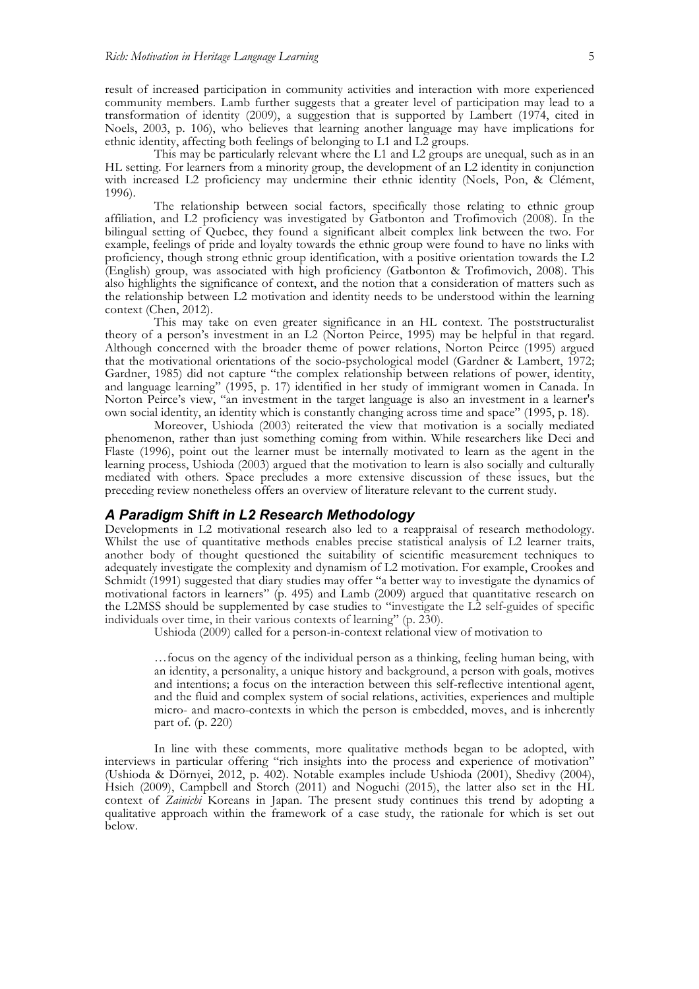result of increased participation in community activities and interaction with more experienced community members. Lamb further suggests that a greater level of participation may lead to a transformation of identity (2009), a suggestion that is supported by Lambert (1974, cited in Noels, 2003, p. 106), who believes that learning another language may have implications for ethnic identity, affecting both feelings of belonging to L1 and L2 groups.

This may be particularly relevant where the L1 and L2 groups are unequal, such as in an HL setting. For learners from a minority group, the development of an L2 identity in conjunction with increased L2 proficiency may undermine their ethnic identity (Noels, Pon, & Clément, 1996).

The relationship between social factors, specifically those relating to ethnic group affiliation, and L2 proficiency was investigated by Gatbonton and Trofimovich (2008). In the bilingual setting of Quebec, they found a significant albeit complex link between the two. For example, feelings of pride and loyalty towards the ethnic group were found to have no links with proficiency, though strong ethnic group identification, with a positive orientation towards the L2 (English) group, was associated with high proficiency (Gatbonton & Trofimovich, 2008). This also highlights the significance of context, and the notion that a consideration of matters such as the relationship between L2 motivation and identity needs to be understood within the learning context (Chen, 2012).

This may take on even greater significance in an HL context. The poststructuralist theory of a person's investment in an L2 (Norton Peirce, 1995) may be helpful in that regard. Although concerned with the broader theme of power relations, Norton Peirce (1995) argued that the motivational orientations of the socio-psychological model (Gardner & Lambert, 1972; Gardner, 1985) did not capture "the complex relationship between relations of power, identity, and language learning" (1995, p. 17) identified in her study of immigrant women in Canada. In Norton Peirce's view, "an investment in the target language is also an investment in a learner's own social identity, an identity which is constantly changing across time and space" (1995, p. 18).

Moreover, Ushioda (2003) reiterated the view that motivation is a socially mediated phenomenon, rather than just something coming from within. While researchers like Deci and Flaste (1996), point out the learner must be internally motivated to learn as the agent in the learning process, Ushioda (2003) argued that the motivation to learn is also socially and culturally mediated with others. Space precludes a more extensive discussion of these issues, but the preceding review nonetheless offers an overview of literature relevant to the current study.

#### *A Paradigm Shift in L2 Research Methodology*

Developments in L2 motivational research also led to a reappraisal of research methodology. Whilst the use of quantitative methods enables precise statistical analysis of L2 learner traits, another body of thought questioned the suitability of scientific measurement techniques to adequately investigate the complexity and dynamism of L2 motivation. For example, Crookes and Schmidt (1991) suggested that diary studies may offer "a better way to investigate the dynamics of motivational factors in learners" (p. 495) and Lamb (2009) argued that quantitative research on the L2MSS should be supplemented by case studies to "investigate the L2 self-guides of specific individuals over time, in their various contexts of learning" (p. 230).

Ushioda (2009) called for a person-in-context relational view of motivation to

…focus on the agency of the individual person as a thinking, feeling human being, with an identity, a personality, a unique history and background, a person with goals, motives and intentions; a focus on the interaction between this self-reflective intentional agent, and the fluid and complex system of social relations, activities, experiences and multiple micro- and macro-contexts in which the person is embedded, moves, and is inherently part of. (p. 220)

In line with these comments, more qualitative methods began to be adopted, with interviews in particular offering "rich insights into the process and experience of motivation" (Ushioda & Dörnyei, 2012, p. 402). Notable examples include Ushioda (2001), Shedivy (2004), Hsieh (2009), Campbell and Storch (2011) and Noguchi (2015), the latter also set in the HL context of *Zainichi* Koreans in Japan. The present study continues this trend by adopting a qualitative approach within the framework of a case study, the rationale for which is set out below.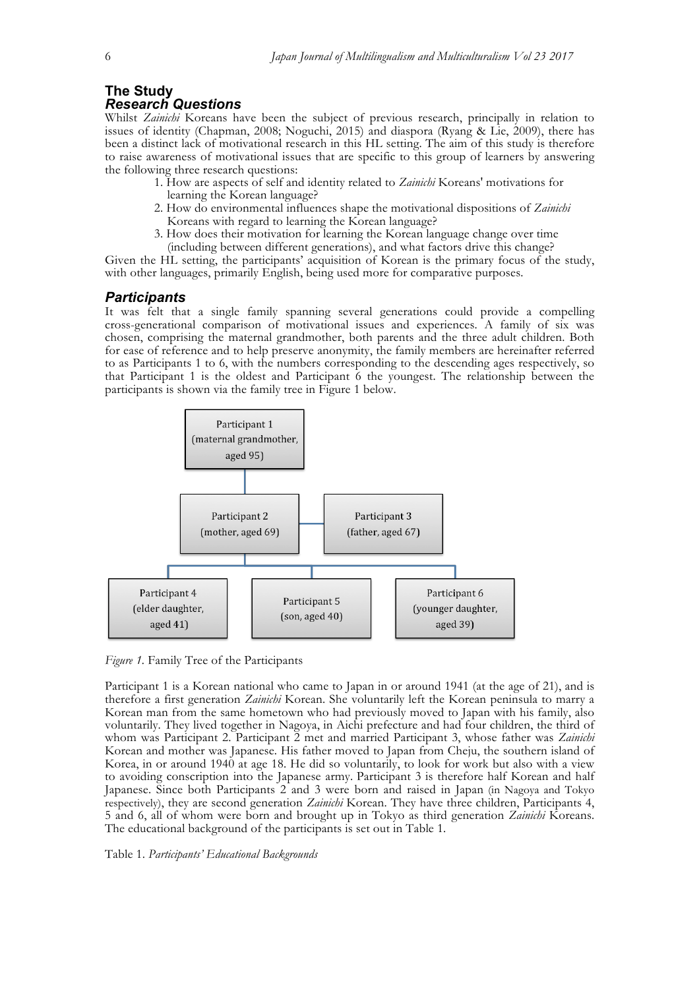# **The Study**

# *Research Questions*

Whilst *Zainichi* Koreans have been the subject of previous research, principally in relation to issues of identity (Chapman, 2008; Noguchi, 2015) and diaspora (Ryang & Lie, 2009), there has been a distinct lack of motivational research in this HL setting. The aim of this study is therefore to raise awareness of motivational issues that are specific to this group of learners by answering the following three research questions:

- 1. How are aspects of self and identity related to *Zainichi* Koreans' motivations for
- learning the Korean language?
- 2. How do environmental influences shape the motivational dispositions of *Zainichi* Koreans with regard to learning the Korean language?
- 3. How does their motivation for learning the Korean language change over time (including between different generations), and what factors drive this change?

Given the HL setting, the participants' acquisition of Korean is the primary focus of the study, with other languages, primarily English, being used more for comparative purposes.

# *Participants*

It was felt that a single family spanning several generations could provide a compelling cross-generational comparison of motivational issues and experiences. A family of six was chosen, comprising the maternal grandmother, both parents and the three adult children. Both for ease of reference and to help preserve anonymity, the family members are hereinafter referred to as Participants 1 to 6, with the numbers corresponding to the descending ages respectively, so that Participant 1 is the oldest and Participant 6 the youngest. The relationship between the participants is shown via the family tree in Figure 1 below.



*Figure 1.* Family Tree of the Participants

Participant 1 is a Korean national who came to Japan in or around 1941 (at the age of 21), and is therefore a first generation *Zainichi* Korean. She voluntarily left the Korean peninsula to marry a Korean man from the same hometown who had previously moved to Japan with his family, also voluntarily. They lived together in Nagoya, in Aichi prefecture and had four children, the third of whom was Participant 2. Participant 2 met and married Participant 3, whose father was *Zainichi* Korean and mother was Japanese. His father moved to Japan from Cheju, the southern island of Korea, in or around 1940 at age 18. He did so voluntarily, to look for work but also with a view to avoiding conscription into the Japanese army. Participant 3 is therefore half Korean and half Japanese. Since both Participants 2 and 3 were born and raised in Japan (in Nagoya and Tokyo respectively), they are second generation *Zainichi* Korean. They have three children, Participants 4, 5 and 6, all of whom were born and brought up in Tokyo as third generation *Zainichi* Koreans. The educational background of the participants is set out in Table 1.

Table 1. *Participants' Educational Backgrounds*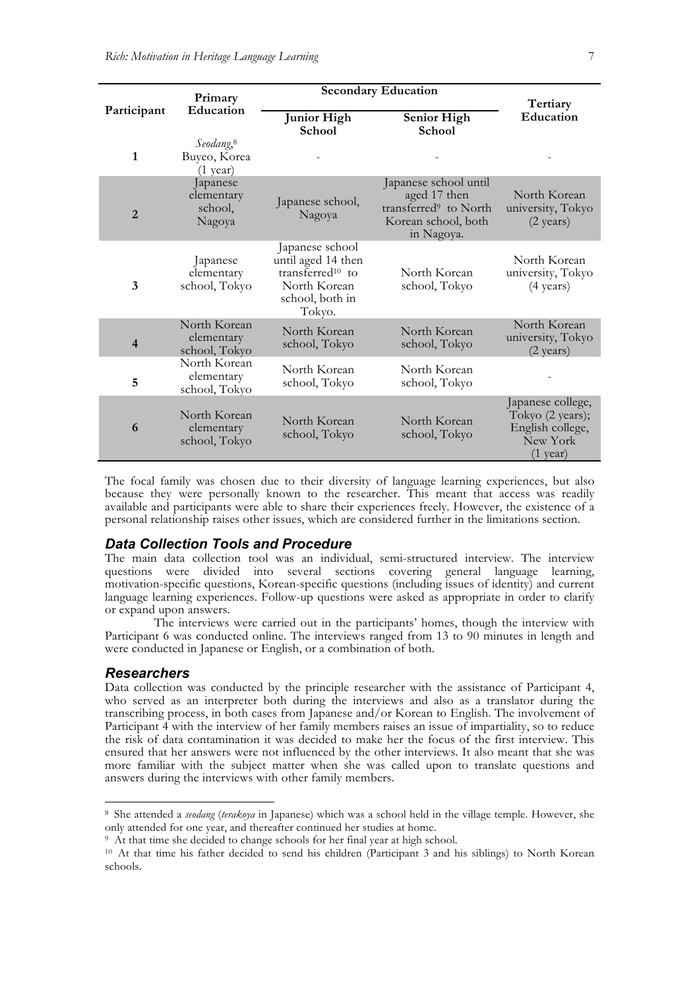|                | Primary<br>Education                                        | <b>Secondary Education</b>                                                                                  |                                                                                                                 |                                                                                             |
|----------------|-------------------------------------------------------------|-------------------------------------------------------------------------------------------------------------|-----------------------------------------------------------------------------------------------------------------|---------------------------------------------------------------------------------------------|
| Participant    |                                                             | <b>Junior High</b><br><b>School</b>                                                                         | <b>Senior High</b><br><b>School</b>                                                                             | Tertiary<br><b>Education</b>                                                                |
| 1              | Seodang, <sup>8</sup><br>Buyeo, Korea<br>$(1 \text{ year})$ |                                                                                                             |                                                                                                                 |                                                                                             |
| $\overline{2}$ | Japanese<br>elementary<br>school,<br>Nagoya                 | Japanese school,<br>Nagoya                                                                                  | Japanese school until<br>aged 17 then<br>transferred <sup>9</sup> to North<br>Korean school, both<br>in Nagoya. | North Korean<br>university, Tokyo<br>$(2 \text{ years})$                                    |
| 3              | Japanese<br>elementary<br>school, Tokyo                     | Japanese school<br>until aged 14 then<br>$transferred^{10}$ to<br>North Korean<br>school, both in<br>Tokyo. | North Korean<br>school, Tokyo                                                                                   | North Korean<br>university, Tokyo<br>$(4 \text{ years})$                                    |
| $\overline{4}$ | North Korean<br>elementary<br>school, Tokyo                 | North Korean<br>school, Tokyo                                                                               | North Korean<br>school, Tokyo                                                                                   | North Korean<br>university, Tokyo<br>$(2 \text{ years})$                                    |
| 5              | North Korean<br>elementary<br>school, Tokyo                 | North Korean<br>school, Tokyo                                                                               | North Korean<br>school, Tokyo                                                                                   |                                                                                             |
| 6              | North Korean<br>elementary<br>school, Tokyo                 | North Korean<br>school, Tokyo                                                                               | North Korean<br>school, Tokyo                                                                                   | Japanese college,<br>Tokyo (2 years);<br>English college,<br>New York<br>$(1 \text{ year})$ |

The focal family was chosen due to their diversity of language learning experiences, but also because they were personally known to the researcher. This meant that access was readily available and participants were able to share their experiences freely. However, the existence of a personal relationship raises other issues, which are considered further in the limitations section.

## *Data Collection Tools and Procedure*

The main data collection tool was an individual, semi-structured interview. The interview questions were divided into several sections covering general language learning, motivation-specific questions, Korean-specific questions (including issues of identity) and current language learning experiences. Follow-up questions were asked as appropriate in order to clarify or expand upon answers.

The interviews were carried out in the participants' homes, though the interview with Participant 6 was conducted online. The interviews ranged from 13 to 90 minutes in length and were conducted in Japanese or English, or a combination of both.

#### *Researchers*

Data collection was conducted by the principle researcher with the assistance of Participant 4, who served as an interpreter both during the interviews and also as a translator during the transcribing process, in both cases from Japanese and/or Korean to English. The involvement of Participant 4 with the interview of her family members raises an issue of impartiality, so to reduce the risk of data contamination it was decided to make her the focus of the first interview. This ensured that her answers were not influenced by the other interviews. It also meant that she was more familiar with the subject matter when she was called upon to translate questions and answers during the interviews with other family members.

 <sup>8</sup> She attended a *seodang* (*terakoya* in Japanese) which was a school held in the village temple. However, she only attended for one year, and thereafter continued her studies at home.

<sup>9</sup> At that time she decided to change schools for her final year at high school.

<sup>10</sup> At that time his father decided to send his children (Participant 3 and his siblings) to North Korean schools.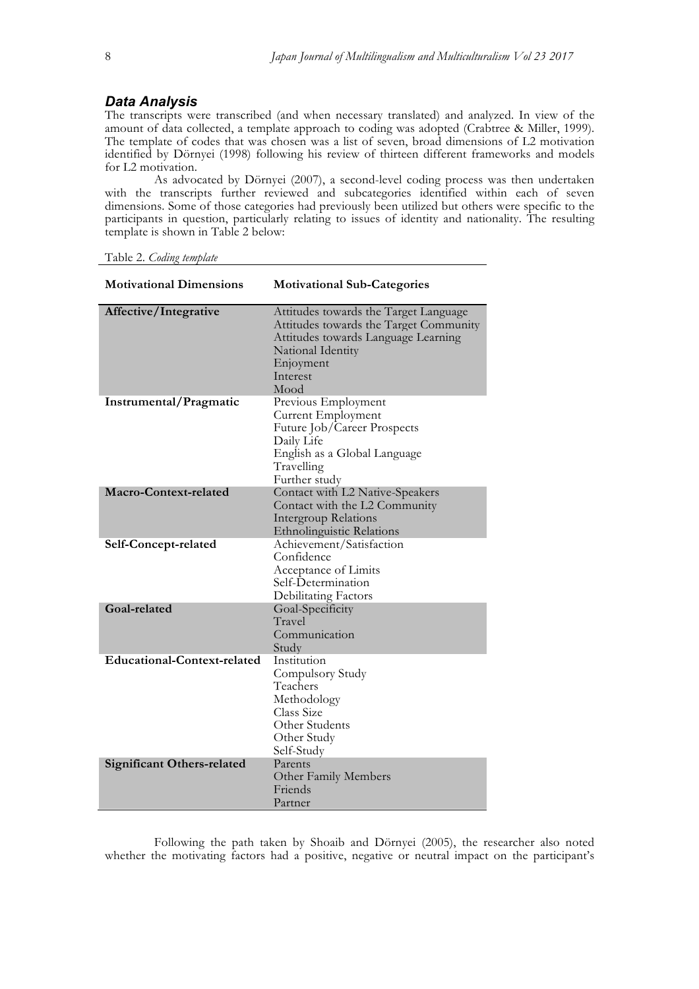## *Data Analysis*

The transcripts were transcribed (and when necessary translated) and analyzed. In view of the amount of data collected, a template approach to coding was adopted (Crabtree & Miller, 1999). The template of codes that was chosen was a list of seven, broad dimensions of L2 motivation identified by Dörnyei (1998) following his review of thirteen different frameworks and models for L2 motivation.

As advocated by Dörnyei (2007), a second-level coding process was then undertaken with the transcripts further reviewed and subcategories identified within each of seven dimensions. Some of those categories had previously been utilized but others were specific to the participants in question, particularly relating to issues of identity and nationality. The resulting template is shown in Table 2 below:

Table 2. *Coding template*

| <b>Motivational Dimensions</b>     | <b>Motivational Sub-Categories</b>                                                                                                                                           |
|------------------------------------|------------------------------------------------------------------------------------------------------------------------------------------------------------------------------|
| Affective/Integrative              | Attitudes towards the Target Language<br>Attitudes towards the Target Community<br>Attitudes towards Language Learning<br>National Identity<br>Enjoyment<br>Interest<br>Mood |
| Instrumental/Pragmatic             | Previous Employment<br>Current Employment<br>Future Job/Career Prospects<br>Daily Life<br>English as a Global Language<br>Travelling<br>Further study                        |
| Macro-Context-related              | Contact with L2 Native-Speakers<br>Contact with the L2 Community<br>Intergroup Relations<br><b>Ethnolinguistic Relations</b>                                                 |
| Self-Concept-related               | Achievement/Satisfaction<br>Confidence<br>Acceptance of Limits<br>Self-Determination<br>Debilitating Factors                                                                 |
| Goal-related                       | Goal-Specificity<br>Travel<br>Communication<br>Study                                                                                                                         |
| <b>Educational-Context-related</b> | Institution<br>Compulsory Study<br>Teachers<br>Methodology<br>Class Size<br>Other Students<br>Other Study<br>Self-Study                                                      |
| <b>Significant Others-related</b>  | Parents<br>Other Family Members<br>Friends<br>Partner                                                                                                                        |

Following the path taken by Shoaib and Dörnyei (2005), the researcher also noted whether the motivating factors had a positive, negative or neutral impact on the participant's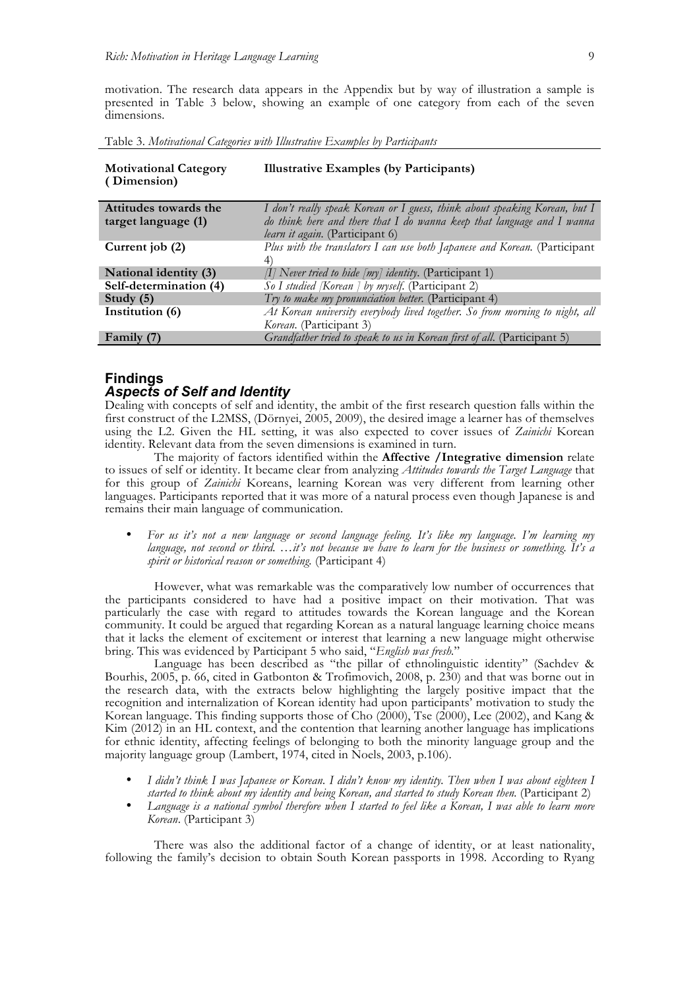motivation. The research data appears in the Appendix but by way of illustration a sample is presented in Table 3 below, showing an example of one category from each of the seven dimensions.

Table 3. *Motivational Categories with Illustrative Examples by Participants*

| <b>Motivational Category</b><br>(Dimension) | <b>Illustrative Examples (by Participants)</b>                                   |
|---------------------------------------------|----------------------------------------------------------------------------------|
| Attitudes towards the                       | I don't really speak Korean or I guess, think about speaking Korean, but I       |
| target language (1)                         | do think here and there that I do wanna keep that language and I wanna           |
|                                             | <i>learn it again.</i> (Participant 6)                                           |
| Current job (2)                             | Plus with the translators I can use both Japanese and Korean. (Participant       |
|                                             | 4)                                                                               |
| National identity (3)                       | $\left I\right $ Never tried to hide $\left my\right $ identity. (Participant 1) |
| Self-determination (4)                      | So I studied [Korean ] by myself. (Participant 2)                                |
| Study $(5)$                                 | Try to make my pronunciation better. (Participant 4)                             |
| Institution (6)                             | At Korean university everybody lived together. So from morning to night, all     |
|                                             | <i>Korean.</i> (Participant 3)                                                   |
| Family (7)                                  | Grandfather tried to speak to us in Korean first of all. (Participant 5)         |

### **Findings** *Aspects of Self and Identity*

Dealing with concepts of self and identity, the ambit of the first research question falls within the first construct of the L2MSS, (Dörnyei, 2005, 2009), the desired image a learner has of themselves using the L2. Given the HL setting, it was also expected to cover issues of *Zainichi* Korean identity. Relevant data from the seven dimensions is examined in turn.

The majority of factors identified within the **Affective /Integrative dimension** relate to issues of self or identity. It became clear from analyzing *Attitudes towards the Target Language* that for this group of *Zainichi* Koreans, learning Korean was very different from learning other languages. Participants reported that it was more of a natural process even though Japanese is and remains their main language of communication.

• *For us it's not a new language or second language feeling. It's like my language. I'm learning my language, not second or third. …it's not because we have to learn for the business or something. It's a spirit or historical reason or something.* (Participant 4)

However, what was remarkable was the comparatively low number of occurrences that the participants considered to have had a positive impact on their motivation. That was particularly the case with regard to attitudes towards the Korean language and the Korean community. It could be argued that regarding Korean as a natural language learning choice means that it lacks the element of excitement or interest that learning a new language might otherwise bring. This was evidenced by Participant 5 who said, "*English was fresh.*"

Language has been described as "the pillar of ethnolinguistic identity" (Sachdev & Bourhis, 2005, p. 66, cited in Gatbonton & Trofimovich, 2008, p. 230) and that was borne out in the research data, with the extracts below highlighting the largely positive impact that the recognition and internalization of Korean identity had upon participants' motivation to study the Korean language. This finding supports those of Cho (2000), Tse (2000), Lee (2002), and Kang & Kim (2012) in an HL context, and the contention that learning another language has implications for ethnic identity, affecting feelings of belonging to both the minority language group and the majority language group (Lambert, 1974, cited in Noels, 2003, p.106).

- *I didn't think I was Japanese or Korean. I didn't know my identity. Then when I was about eighteen I started to think about my identity and being Korean, and started to study Korean then.* (Participant 2)
- *Language is a national symbol therefore when I started to feel like a Korean, I was able to learn more Korean*. (Participant 3)

There was also the additional factor of a change of identity, or at least nationality, following the family's decision to obtain South Korean passports in 1998. According to Ryang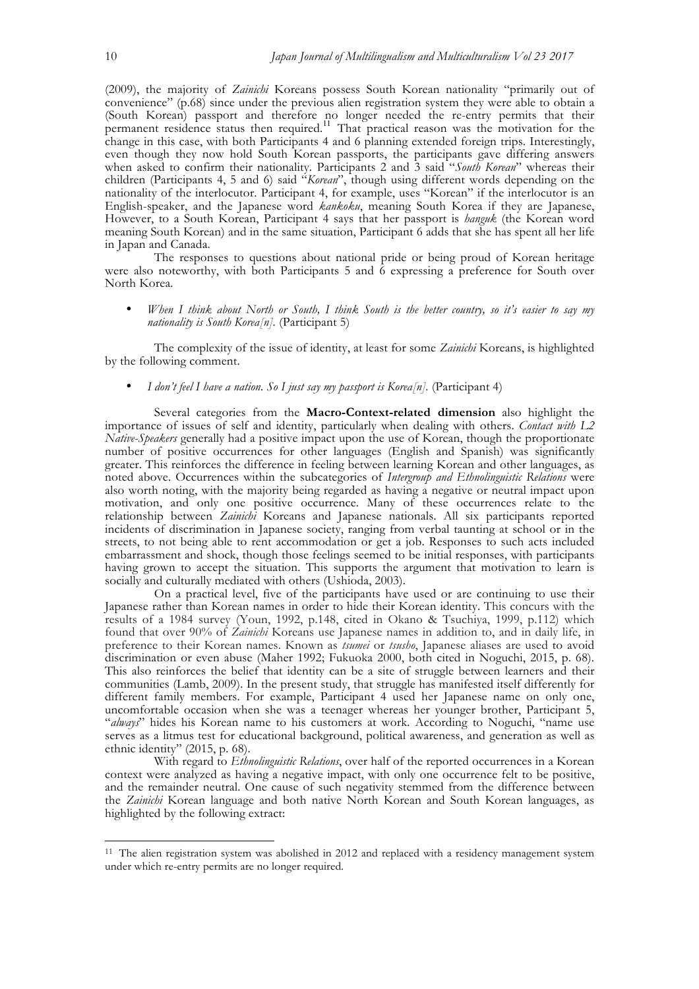(2009), the majority of *Zainichi* Koreans possess South Korean nationality "primarily out of convenience" (p.68) since under the previous alien registration system they were able to obtain a (South Korean) passport and therefore no longer needed the re-entry permits that their permanent residence status then required.<sup>11</sup> That practical reason was the motivation for the change in this case, with both Participants 4 and 6 planning extended foreign trips. Interestingly, even though they now hold South Korean passports, the participants gave differing answers when asked to confirm their nationality. Participants 2 and 3 said "*South Korean*" whereas their children (Participants 4, 5 and 6) said "*Korean*", though using different words depending on the nationality of the interlocutor. Participant 4, for example, uses "Korean" if the interlocutor is an English-speaker, and the Japanese word *kankoku*, meaning South Korea if they are Japanese, However, to a South Korean, Participant 4 says that her passport is *hanguk* (the Korean word meaning South Korean) and in the same situation, Participant 6 adds that she has spent all her life in Japan and Canada.

The responses to questions about national pride or being proud of Korean heritage were also noteworthy, with both Participants 5 and  $\vec{6}$  expressing a preference for South over North Korea.

• *When I think about North or South, I think South is the better country, so it's easier to say my nationality is South Korea[n].* (Participant 5)

The complexity of the issue of identity, at least for some *Zainichi* Koreans, is highlighted by the following comment.

*I don't feel I have a nation. So I just say my passport is Korea[n].* (Participant 4)

Several categories from the **Macro-Context-related dimension** also highlight the importance of issues of self and identity, particularly when dealing with others. *Contact with L2 Native-Speakers* generally had a positive impact upon the use of Korean, though the proportionate number of positive occurrences for other languages (English and Spanish) was significantly greater. This reinforces the difference in feeling between learning Korean and other languages, as noted above. Occurrences within the subcategories of *Intergroup and Ethnolinguistic Relations* were also worth noting, with the majority being regarded as having a negative or neutral impact upon motivation, and only one positive occurrence. Many of these occurrences relate to the relationship between *Zainichi* Koreans and Japanese nationals. All six participants reported incidents of discrimination in Japanese society, ranging from verbal taunting at school or in the streets, to not being able to rent accommodation or get a job. Responses to such acts included embarrassment and shock, though those feelings seemed to be initial responses, with participants having grown to accept the situation. This supports the argument that motivation to learn is socially and culturally mediated with others (Ushioda, 2003).

On a practical level, five of the participants have used or are continuing to use their Japanese rather than Korean names in order to hide their Korean identity. This concurs with the results of a 1984 survey (Youn, 1992, p.148, cited in Okano & Tsuchiya, 1999, p.112) which found that over 90% of *Zainichi* Koreans use Japanese names in addition to, and in daily life, in preference to their Korean names. Known as *tsumei* or *tsusho*, Japanese aliases are used to avoid discrimination or even abuse (Maher 1992; Fukuoka 2000, both cited in Noguchi, 2015, p. 68). This also reinforces the belief that identity can be a site of struggle between learners and their communities (Lamb, 2009). In the present study, that struggle has manifested itself differently for different family members. For example, Participant 4 used her Japanese name on only one, uncomfortable occasion when she was a teenager whereas her younger brother, Participant 5, "*always*" hides his Korean name to his customers at work. According to Noguchi, "name use serves as a litmus test for educational background, political awareness, and generation as well as ethnic identity" (2015, p. 68).

With regard to *Ethnolinguistic Relations*, over half of the reported occurrences in a Korean context were analyzed as having a negative impact, with only one occurrence felt to be positive, and the remainder neutral. One cause of such negativity stemmed from the difference between the *Zainichi* Korean language and both native North Korean and South Korean languages, as highlighted by the following extract:

<sup>&</sup>lt;sup>11</sup> The alien registration system was abolished in 2012 and replaced with a residency management system under which re-entry permits are no longer required.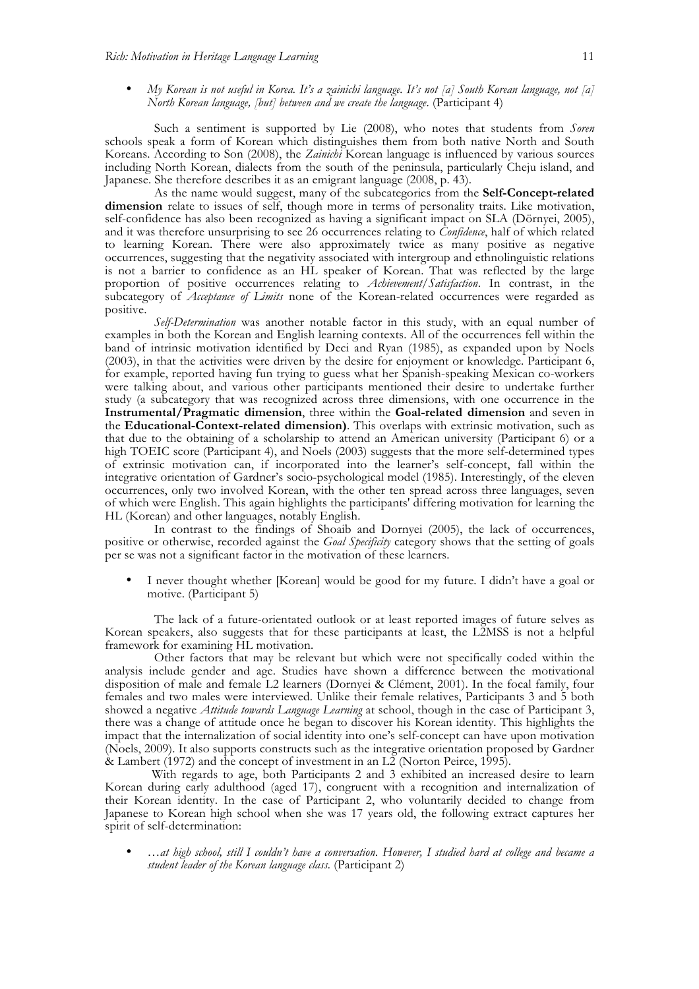• *My Korean is not useful in Korea. It's a zainichi language. It's not [a] South Korean language, not [a] North Korean language, [but] between and we create the language*. (Participant 4)

Such a sentiment is supported by Lie (2008), who notes that students from *Soren* schools speak a form of Korean which distinguishes them from both native North and South Koreans. According to Son (2008), the *Zainichi* Korean language is influenced by various sources including North Korean, dialects from the south of the peninsula, particularly Cheju island, and Japanese. She therefore describes it as an emigrant language (2008, p. 43).

As the name would suggest, many of the subcategories from the **Self-Concept-related dimension** relate to issues of self, though more in terms of personality traits. Like motivation, self-confidence has also been recognized as having a significant impact on SLA (Dörnyei, 2005), and it was therefore unsurprising to see 26 occurrences relating to *Confidence*, half of which related to learning Korean. There were also approximately twice as many positive as negative occurrences, suggesting that the negativity associated with intergroup and ethnolinguistic relations is not a barrier to confidence as an HL speaker of Korean. That was reflected by the large proportion of positive occurrences relating to *Achievement/Satisfaction*. In contrast, in the subcategory of *Acceptance of Limits* none of the Korean-related occurrences were regarded as positive.

*Self-Determination* was another notable factor in this study, with an equal number of examples in both the Korean and English learning contexts. All of the occurrences fell within the band of intrinsic motivation identified by Deci and Ryan (1985), as expanded upon by Noels (2003), in that the activities were driven by the desire for enjoyment or knowledge. Participant 6, for example, reported having fun trying to guess what her Spanish-speaking Mexican co-workers were talking about, and various other participants mentioned their desire to undertake further study (a subcategory that was recognized across three dimensions, with one occurrence in the **Instrumental/Pragmatic dimension**, three within the **Goal-related dimension** and seven in the **Educational-Context-related dimension)**. This overlaps with extrinsic motivation, such as that due to the obtaining of a scholarship to attend an American university (Participant 6) or a high TOEIC score (Participant 4), and Noels (2003) suggests that the more self-determined types of extrinsic motivation can, if incorporated into the learner's self-concept, fall within the integrative orientation of Gardner's socio-psychological model (1985). Interestingly, of the eleven occurrences, only two involved Korean, with the other ten spread across three languages, seven of which were English. This again highlights the participants' differing motivation for learning the HL (Korean) and other languages, notably English.

In contrast to the findings of Shoaib and Dornyei (2005), the lack of occurrences, positive or otherwise, recorded against the *Goal Specificity* category shows that the setting of goals per se was not a significant factor in the motivation of these learners.

• I never thought whether [Korean] would be good for my future. I didn't have a goal or motive. (Participant 5)

The lack of a future-orientated outlook or at least reported images of future selves as Korean speakers, also suggests that for these participants at least, the L2MSS is not a helpful framework for examining HL motivation.

Other factors that may be relevant but which were not specifically coded within the analysis include gender and age. Studies have shown a difference between the motivational disposition of male and female L2 learners (Dornyei & Clément, 2001). In the focal family, four females and two males were interviewed. Unlike their female relatives, Participants 3 and 5 both showed a negative *Attitude towards Language Learning* at school, though in the case of Participant 3, there was a change of attitude once he began to discover his Korean identity. This highlights the impact that the internalization of social identity into one's self-concept can have upon motivation (Noels, 2009). It also supports constructs such as the integrative orientation proposed by Gardner & Lambert (1972) and the concept of investment in an  $L2$  (Norton Peirce, 1995).

 With regards to age, both Participants 2 and 3 exhibited an increased desire to learn Korean during early adulthood (aged 17), congruent with a recognition and internalization of their Korean identity. In the case of Participant 2, who voluntarily decided to change from Japanese to Korean high school when she was 17 years old, the following extract captures her spirit of self-determination:

• *…at high school, still I couldn't have a conversation. However, I studied hard at college and became a student leader of the Korean language class.* (Participant 2)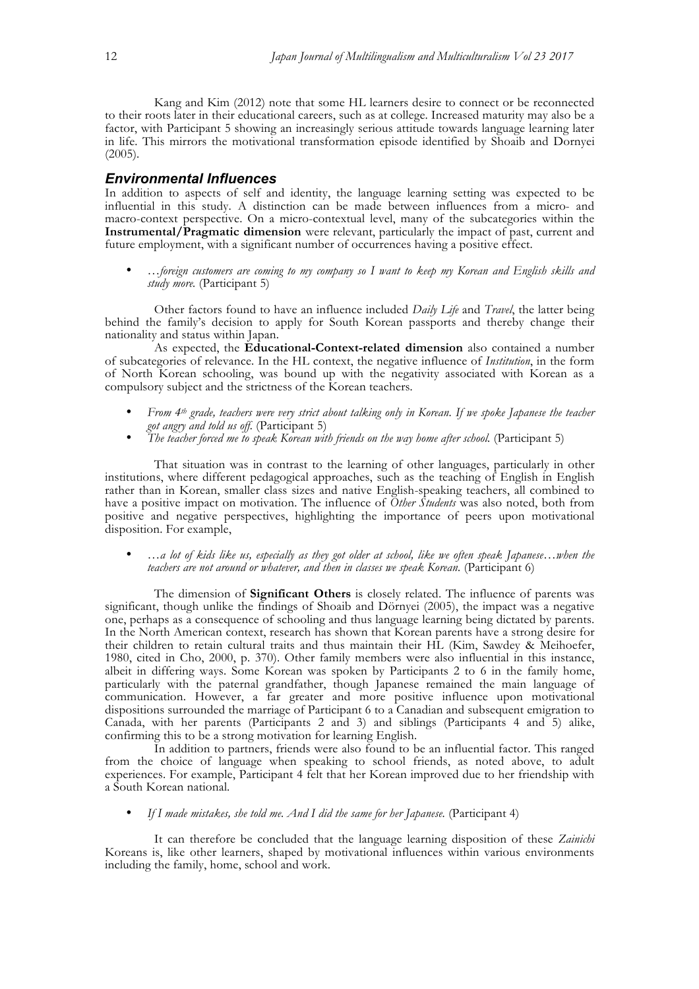Kang and Kim (2012) note that some HL learners desire to connect or be reconnected to their roots later in their educational careers, such as at college. Increased maturity may also be a factor, with Participant 5 showing an increasingly serious attitude towards language learning later in life. This mirrors the motivational transformation episode identified by Shoaib and Dornyei (2005).

#### *Environmental Influences*

In addition to aspects of self and identity, the language learning setting was expected to be influential in this study. A distinction can be made between influences from a micro- and macro-context perspective. On a micro-contextual level, many of the subcategories within the **Instrumental/Pragmatic dimension** were relevant, particularly the impact of past, current and future employment, with a significant number of occurrences having a positive effect.

• *…foreign customers are coming to my company so I want to keep my Korean and English skills and study more.* (Participant 5)

Other factors found to have an influence included *Daily Life* and *Travel*, the latter being behind the family's decision to apply for South Korean passports and thereby change their nationality and status within Japan.

As expected, the **Educational-Context-related dimension** also contained a number of subcategories of relevance. In the HL context, the negative influence of *Institution*, in the form of North Korean schooling, was bound up with the negativity associated with Korean as a compulsory subject and the strictness of the Korean teachers*.*

- *From 4th grade, teachers were very strict about talking only in Korean. If we spoke Japanese the teacher got angry and told us off.* (Participant 5)
- *The teacher forced me to speak Korean with friends on the way home after school.* (Participant 5)

That situation was in contrast to the learning of other languages, particularly in other institutions, where different pedagogical approaches, such as the teaching of English in English rather than in Korean, smaller class sizes and native English-speaking teachers, all combined to have a positive impact on motivation. The influence of *Other Students* was also noted, both from positive and negative perspectives, highlighting the importance of peers upon motivational disposition. For example,

• *…a lot of kids like us, especially as they got older at school, like we often speak Japanese…when the teachers are not around or whatever, and then in classes we speak Korean.* (Participant 6)

The dimension of **Significant Others** is closely related. The influence of parents was significant, though unlike the findings of Shoaib and Dörnyei (2005), the impact was a negative one, perhaps as a consequence of schooling and thus language learning being dictated by parents. In the North American context, research has shown that Korean parents have a strong desire for their children to retain cultural traits and thus maintain their HL (Kim, Sawdey & Meihoefer, 1980, cited in Cho, 2000, p. 370). Other family members were also influential in this instance, albeit in differing ways. Some Korean was spoken by Participants 2 to 6 in the family home, particularly with the paternal grandfather, though Japanese remained the main language of communication. However, a far greater and more positive influence upon motivational dispositions surrounded the marriage of Participant 6 to a Canadian and subsequent emigration to Canada, with her parents (Participants 2 and 3) and siblings (Participants 4 and 5) alike, confirming this to be a strong motivation for learning English.

In addition to partners, friends were also found to be an influential factor. This ranged from the choice of language when speaking to school friends, as noted above, to adult experiences. For example, Participant 4 felt that her Korean improved due to her friendship with a South Korean national.

If I made mistakes, she told me. And I did the same for her Japanese. (Participant 4)

It can therefore be concluded that the language learning disposition of these *Zainichi* Koreans is, like other learners, shaped by motivational influences within various environments including the family, home, school and work.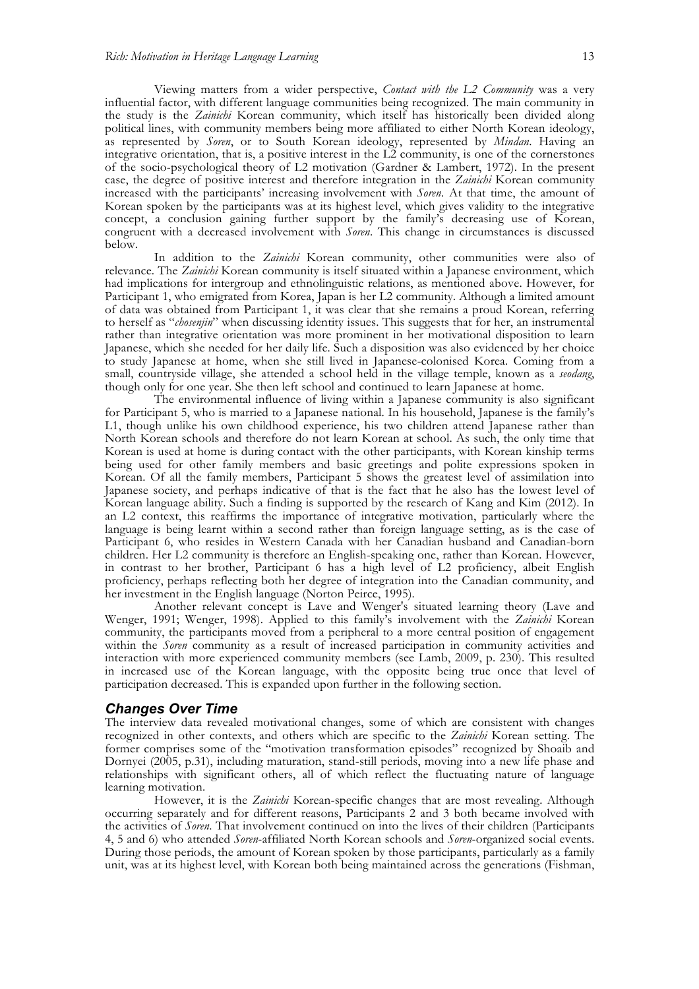Viewing matters from a wider perspective, *Contact with the L2 Community* was a very influential factor, with different language communities being recognized. The main community in the study is the *Zainichi* Korean community, which itself has historically been divided along political lines, with community members being more affiliated to either North Korean ideology, as represented by *Soren*, or to South Korean ideology, represented by *Mindan*. Having an integrative orientation, that is, a positive interest in the L2 community, is one of the cornerstones of the socio-psychological theory of L2 motivation (Gardner & Lambert, 1972). In the present case, the degree of positive interest and therefore integration in the *Zainichi* Korean community increased with the participants' increasing involvement with *Soren*.At that time, the amount of Korean spoken by the participants was at its highest level, which gives validity to the integrative concept, a conclusion gaining further support by the family's decreasing use of Korean, congruent with a decreased involvement with *Soren*. This change in circumstances is discussed below.

In addition to the *Zainichi* Korean community, other communities were also of relevance. The *Zainichi* Korean community is itself situated within a Japanese environment, which had implications for intergroup and ethnolinguistic relations, as mentioned above. However, for Participant 1, who emigrated from Korea, Japan is her L2 community. Although a limited amount of data was obtained from Participant 1, it was clear that she remains a proud Korean, referring to herself as "*chosenjin*" when discussing identity issues. This suggests that for her, an instrumental rather than integrative orientation was more prominent in her motivational disposition to learn Japanese, which she needed for her daily life. Such a disposition was also evidenced by her choice to study Japanese at home, when she still lived in Japanese-colonised Korea. Coming from a small, countryside village, she attended a school held in the village temple, known as a *seodang*, though only for one year. She then left school and continued to learn Japanese at home.

The environmental influence of living within a Japanese community is also significant for Participant 5, who is married to a Japanese national. In his household, Japanese is the family's L1, though unlike his own childhood experience, his two children attend Japanese rather than North Korean schools and therefore do not learn Korean at school. As such, the only time that Korean is used at home is during contact with the other participants, with Korean kinship terms being used for other family members and basic greetings and polite expressions spoken in Korean. Of all the family members, Participant 5 shows the greatest level of assimilation into Japanese society, and perhaps indicative of that is the fact that he also has the lowest level of Korean language ability. Such a finding is supported by the research of Kang and Kim (2012). In an L2 context, this reaffirms the importance of integrative motivation, particularly where the language is being learnt within a second rather than foreign language setting, as is the case of Participant 6, who resides in Western Canada with her Canadian husband and Canadian-born children. Her L2 community is therefore an English-speaking one, rather than Korean. However, in contrast to her brother, Participant 6 has a high level of L2 proficiency, albeit English proficiency, perhaps reflecting both her degree of integration into the Canadian community, and her investment in the English language (Norton Peirce, 1995).

Another relevant concept is Lave and Wenger's situated learning theory (Lave and Wenger, 1991; Wenger, 1998). Applied to this family's involvement with the *Zainichi* Korean community, theparticipants moved from a peripheral to a more central position of engagement within the *Soren* communityas a result of increased participation in community activities and interaction with more experienced community members (see Lamb, 2009, p. 230). This resulted in increased use of the Korean language, with the opposite being true once that level of participation decreased. This is expanded upon further in the following section.

#### *Changes Over Time*

The interview data revealed motivational changes, some of which are consistent with changes recognized in other contexts, and others which are specific to the *Zainichi* Korean setting. The former comprises some of the "motivation transformation episodes" recognized by Shoaib and Dornyei (2005, p.31), including maturation, stand-still periods, moving into a new life phase and relationships with significant others, all of which reflect the fluctuating nature of language learning motivation.

However, it is the *Zainichi* Korean-specific changes that are most revealing. Although occurring separately and for different reasons, Participants 2 and 3 both became involved with the activities of *Soren*. That involvement continued on into the lives of their children (Participants 4, 5 and 6) who attended *Soren*-affiliated North Korean schools and *Soren*-organized social events. During those periods, the amount of Korean spoken by those participants, particularly as a family unit, was at its highest level, with Korean both being maintained across the generations (Fishman,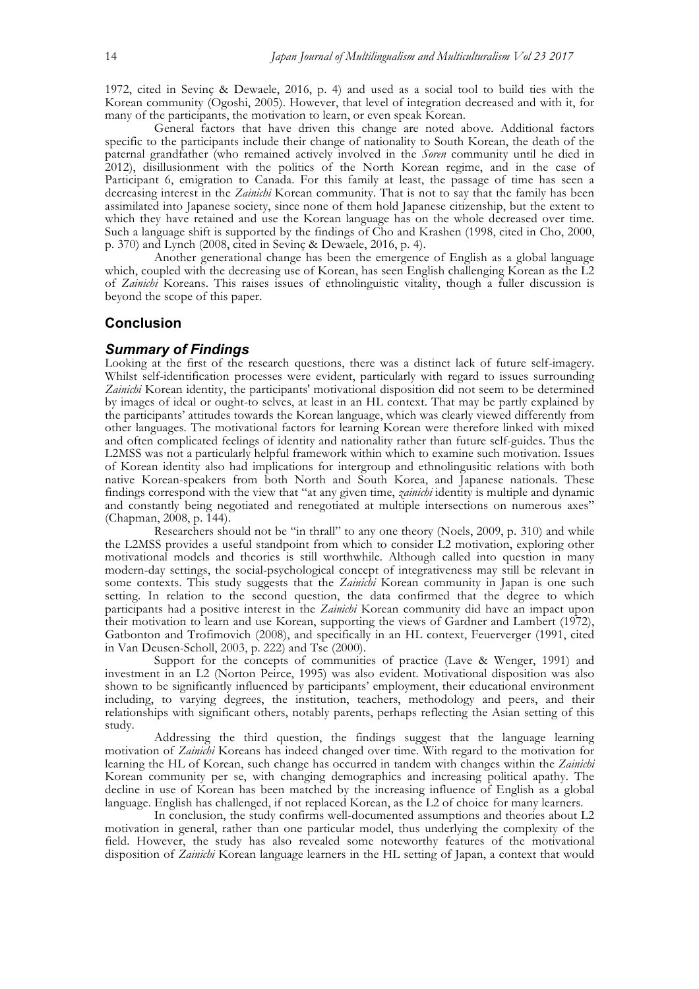1972, cited in Sevinç & Dewaele, 2016, p. 4) and used as a social tool to build ties with the Korean community (Ogoshi, 2005). However, that level of integration decreased and with it, for many of the participants, the motivation to learn, or even speak Korean.

General factors that have driven this change are noted above. Additional factors specific to the participants include their change of nationality to South Korean, the death of the paternal grandfather (who remained actively involved in the *Soren* community until he died in 2012), disillusionment with the politics of the North Korean regime, and in the case of Participant 6, emigration to Canada. For this family at least, the passage of time has seen a decreasing interest in the *Zainichi* Korean community. That is not to say that the family has been assimilated into Japanese society, since none of them hold Japanese citizenship, but the extent to which they have retained and use the Korean language has on the whole decreased over time. Such a language shift is supported by the findings of Cho and Krashen (1998, cited in Cho, 2000, p. 370) and Lynch (2008, cited in Sevinç & Dewaele, 2016, p. 4).

Another generational change has been the emergence of English as a global language which, coupled with the decreasing use of Korean, has seen English challenging Korean as the L2 of *Zainichi* Koreans. This raises issues of ethnolinguistic vitality, though a fuller discussion is beyond the scope of this paper.

## **Conclusion**

#### *Summary of Findings*

Looking at the first of the research questions, there was a distinct lack of future self-imagery. Whilst self-identification processes were evident, particularly with regard to issues surrounding *Zainichi* Korean identity, the participants' motivational disposition did not seem to be determined by images of ideal or ought-to selves, at least in an HL context. That may be partly explained by the participants' attitudes towards the Korean language, which was clearly viewed differently from other languages. The motivational factors for learning Korean were therefore linked with mixed and often complicated feelings of identity and nationality rather than future self-guides. Thus the L2MSS was not a particularly helpful framework within which to examine such motivation. Issues of Korean identity also had implications for intergroup and ethnolingusitic relations with both native Korean-speakers from both North and South Korea, and Japanese nationals. These findings correspond with the view that "at any given time, *zainichi* identity is multiple and dynamic and constantly being negotiated and renegotiated at multiple intersections on numerous axes" (Chapman, 2008, p. 144).

Researchers should not be "in thrall" to any one theory (Noels, 2009, p. 310) and while the L2MSS provides a useful standpoint from which to consider L2 motivation, exploring other motivational models and theories is still worthwhile. Although called into question in many modern-day settings, the social-psychological concept of integrativeness may still be relevant in some contexts. This study suggests that the *Zainichi* Korean community in Japan is one such setting. In relation to the second question, the data confirmed that the degree to which participants had a positive interest in the *Zainichi* Korean community did have an impact upon their motivation to learn and use Korean, supporting the views of Gardner and Lambert (1972), Gatbonton and Trofimovich (2008), and specifically in an HL context, Feuerverger (1991, cited in Van Deusen-Scholl, 2003, p. 222) and Tse (2000).

Support for the concepts of communities of practice (Lave & Wenger, 1991) and investment in an L2 (Norton Peirce, 1995) was also evident. Motivational disposition was also shown to be significantly influenced by participants' employment, their educational environment including, to varying degrees, the institution, teachers, methodology and peers, and their relationships with significant others, notably parents, perhaps reflecting the Asian setting of this study.

Addressing the third question, the findings suggest that the language learning motivation of *Zainichi* Koreans has indeed changed over time. With regard to the motivation for learning the HL of Korean, such change has occurred in tandem with changes within the *Zainichi* Korean community per se, with changing demographics and increasing political apathy. The decline in use of Korean has been matched by the increasing influence of English as a global language. English has challenged, if not replaced Korean, as the L2 of choicefor many learners.

In conclusion, the study confirms well-documented assumptions and theories about L2 motivation in general, rather than one particular model, thus underlying the complexity of the field. However, the study has also revealed some noteworthy features of the motivational disposition of *Zainichi* Korean language learners in the HL setting of Japan, a context that would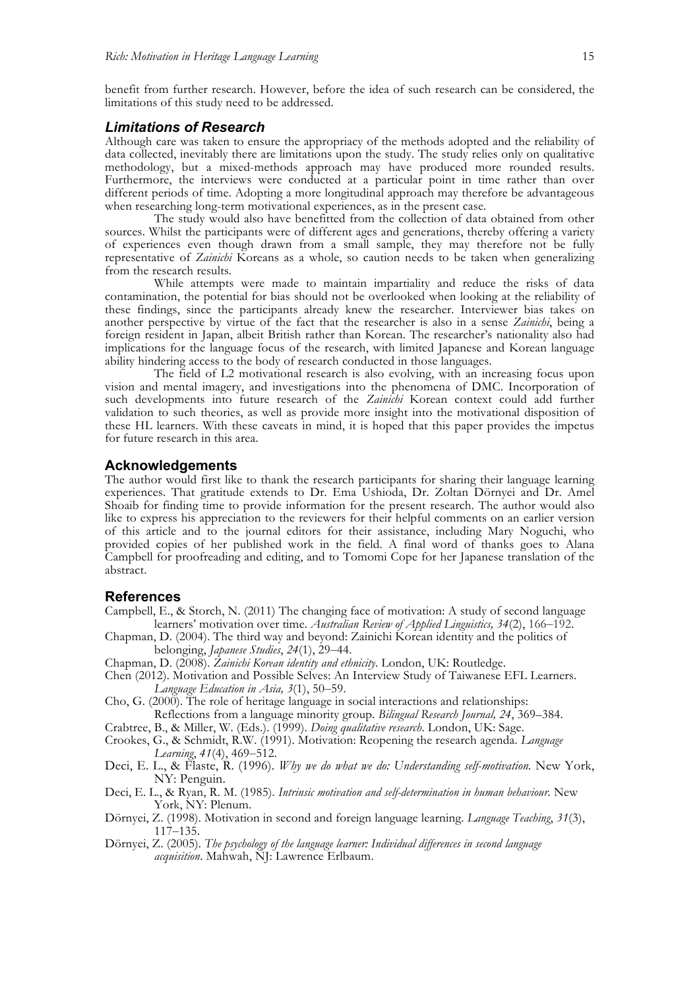benefit from further research. However, before the idea of such research can be considered, the limitations of this study need to be addressed.

#### *Limitations of Research*

Although care was taken to ensure the appropriacy of the methods adopted and the reliability of data collected, inevitably there are limitations upon the study. The study relies only on qualitative methodology, but a mixed-methods approach may have produced more rounded results. Furthermore, the interviews were conducted at a particular point in time rather than over different periods of time. Adopting a more longitudinal approach may therefore be advantageous when researching long-term motivational experiences, as in the present case.

The study would also have benefitted from the collection of data obtained from other sources. Whilst the participants were of different ages and generations, thereby offering a variety of experiences even though drawn from a small sample, they may therefore not be fully representative of *Zainichi* Koreans as a whole, so caution needs to be taken when generalizing from the research results.

While attempts were made to maintain impartiality and reduce the risks of data contamination, the potential for bias should not be overlooked when looking at the reliability of these findings, since the participants already knew the researcher. Interviewer bias takes on another perspective by virtue of the fact that the researcher is also in a sense *Zainichi*, being a foreign resident in Japan, albeit British rather than Korean. The researcher's nationality also had implications for the language focus of the research, with limited Japanese and Korean language ability hindering access to the body of research conducted in those languages.

The field of L2 motivational research is also evolving, with an increasing focus upon vision and mental imagery, and investigations into the phenomena of DMC. Incorporation of such developments into future research of the *Zainichi* Korean context could add further validation to such theories, as well as provide more insight into the motivational disposition of these HL learners. With these caveats in mind, it is hoped that this paper provides the impetus for future research in this area.

#### **Acknowledgements**

The author would first like to thank the research participants for sharing their language learning experiences. That gratitude extends to Dr. Ema Ushioda, Dr. Zoltan Dörnyei and Dr. Amel Shoaib for finding time to provide information for the present research. The author would also like to express his appreciation to the reviewers for their helpful comments on an earlier version of this article and to the journal editors for their assistance, including Mary Noguchi, who provided copies of her published work in the field. A final word of thanks goes to Alana Campbell for proofreading and editing, and to Tomomi Cope for her Japanese translation of the abstract.

#### **References**

- Campbell, E., & Storch, N. (2011) The changing face of motivation: A study of second language learners' motivation over time. *Australian Review of Applied Linguistics, 34*(2), 166–192.
- Chapman, D. (2004). The third way and beyond: Zainichi Korean identity and the politics of belonging, *Japanese Studies*, *24*(1), 29–44.
- Chapman, D. (2008). *Zainichi Korean identity and ethnicity*. London, UK: Routledge.
- Chen (2012). Motivation and Possible Selves: An Interview Study of Taiwanese EFL Learners. *Language Education in Asia, 3*(1), 50–59.
- Cho, G. (2000). The role of heritage language in social interactions and relationships: Reflections from a language minority group. *Bilingual Research Journal, 24*, 369–384.
- Crabtree, B., & Miller, W. (Eds.). (1999). *Doing qualitative research*. London, UK: Sage.
- Crookes, G., & Schmidt, R.W. (1991). Motivation: Reopening the research agenda. *Language Learning*, *41*(4), 469–512.
- Deci, E. L., & Flaste, R. (1996). *Why we do what we do: Understanding self-motivation.* New York, NY: Penguin.
- Deci, E. L., & Ryan, R. M. (1985). *Intrinsic motivation and self-determination in human behaviour*. New York, NY: Plenum.
- Dörnyei, Z. (1998). Motivation in second and foreign language learning. *Language Teaching*, *31*(3), 117–135.
- Dörnyei, Z. (2005). *The psychology of the language learner: Individual differences in second language acquisition*. Mahwah, NJ: Lawrence Erlbaum.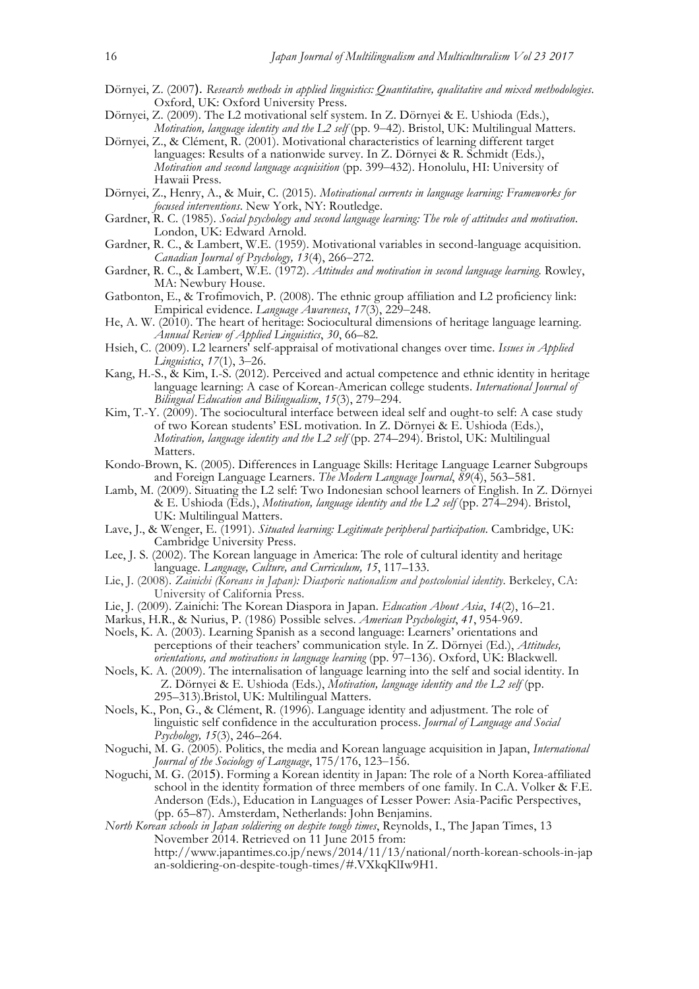- Dörnyei, Z. (2007). *Research methods in applied linguistics: Quantitative, qualitative and mixed methodologies*. Oxford, UK: Oxford University Press.
- Dörnyei, Z. (2009). The L2 motivational self system. In Z. Dörnyei & E. Ushioda (Eds.), *Motivation, language identity and the L2 self* (pp. 9–42). Bristol, UK: Multilingual Matters.
- Dörnyei, Z., & Clément, R. (2001). Motivational characteristics of learning different target languages: Results of a nationwide survey. In Z. Dörnyei & R. Schmidt (Eds.), *Motivation and second language acquisition* (pp. 399–432). Honolulu, HI: University of Hawaii Press.
- Dörnyei, Z., Henry, A., & Muir, C. (2015). *Motivational currents in language learning: Frameworks for focused interventions*. New York, NY: Routledge.
- Gardner, R. C. (1985). *Social psychology and second language learning: The role of attitudes and motivation*. London, UK: Edward Arnold.
- Gardner, R. C., & Lambert, W.E. (1959). Motivational variables in second-language acquisition. *Canadian Journal of Psychology, 13*(4), 266–272.
- Gardner, R. C., & Lambert, W.E. (1972). *Attitudes and motivation in second language learning.* Rowley, MA: Newbury House.
- Gatbonton, E., & Trofimovich, P. (2008). The ethnic group affiliation and L2 proficiency link: Empirical evidence. *Language Awareness*, *17*(3), 229–248.
- He, A. W. (2010). The heart of heritage: Sociocultural dimensions of heritage language learning. *Annual Review of Applied Linguistics*, *30*, 66–82.
- Hsieh, C. (2009). L2 learners' self-appraisal of motivational changes over time. *Issues in Applied Linguistics*, *17*(1), 3–26.
- Kang, H.-S., & Kim, I.-S. (2012). Perceived and actual competence and ethnic identity in heritage language learning: A case of Korean-American college students. *International Journal of Bilingual Education and Bilingualism*, *15*(3), 279–294.
- Kim, T.-Y. (2009). The sociocultural interface between ideal self and ought-to self: A case study of two Korean students' ESL motivation. In Z. Dörnyei & E. Ushioda (Eds.), *Motivation, language identity and the L2 self* (pp. 274–294). Bristol, UK: Multilingual Matters.
- Kondo-Brown, K. (2005). Differences in Language Skills: Heritage Language Learner Subgroups and Foreign Language Learners. *The Modern Language Journal*, *89*(4), 563–581.
- Lamb, M. (2009). Situating the L2 self: Two Indonesian school learners of English. In Z. Dörnyei & E. Ushioda (Eds.), *Motivation, language identity and the L2 self* (pp. 274–294). Bristol, UK: Multilingual Matters.
- Lave, J., & Wenger, E. (1991). *Situated learning: Legitimate peripheral participation*. Cambridge, UK: Cambridge University Press.
- Lee, J. S. (2002). The Korean language in America: The role of cultural identity and heritage language. *Language, Culture, and Curriculum, 15*, 117–133.
- Lie, J. (2008). *Zainichi (Koreans in Japan): Diasporic nationalism and postcolonial identity*. Berkeley, CA: University of California Press.
- Lie, J. (2009). Zainichi: The Korean Diaspora in Japan. *Education About Asia*, *14*(2), 16–21.
- Markus, H.R., & Nurius, P. (1986) Possible selves. *American Psychologist*, *41*, 954-969.
- Noels, K. A. (2003). Learning Spanish as a second language: Learners' orientations and perceptions of their teachers' communication style. In Z. Dörnyei (Ed.), *Attitudes, orientations, and motivations in language learning* (pp. 97–136). Oxford, UK: Blackwell.
- Noels, K. A. (2009). The internalisation of language learning into the self and social identity. In Z. Dörnyei & E. Ushioda (Eds.), *Motivation, language identity and the L2 self* (pp. 295–313).Bristol, UK: Multilingual Matters.
- Noels, K., Pon, G., & Clément, R. (1996). Language identity and adjustment. The role of linguistic self confidence in the acculturation process. *Journal of Language and Social Psychology, 15*(3), 246–264.
- Noguchi, M. G. (2005). Politics, the media and Korean language acquisition in Japan, *International Journal of the Sociology of Language*, 175/176, 123–156.
- Noguchi, M. G. (2015). Forming a Korean identity in Japan: The role of a North Korea-affiliated school in the identity formation of three members of one family. In C.A. Volker & F.E. Anderson (Eds.), Education in Languages of Lesser Power: Asia-Pacific Perspectives, (pp. 65–87). Amsterdam, Netherlands: John Benjamins.
- *North Korean schools in Japan soldiering on despite tough times*, Reynolds, I., The Japan Times, 13 November 2014. Retrieved on 11 June 2015 from: http://www.japantimes.co.jp/news/2014/11/13/national/north-korean-schools-in-jap an-soldiering-on-despite-tough-times/#.VXkqKlIw9H1.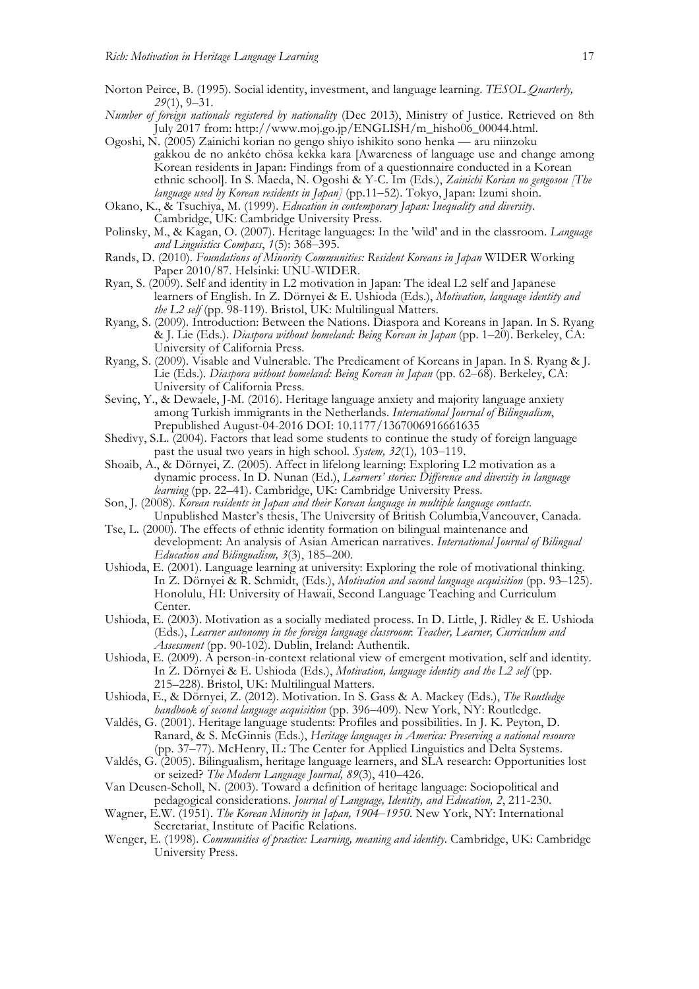- Norton Peirce, B. (1995). Social identity, investment, and language learning. *TESOL Quarterly, 29*(1), 9–31.
- *Number of foreign nationals registered by nationality* (Dec 2013), Ministry of Justice. Retrieved on 8th July 2017 from: http://www.moj.go.jp/ENGLISH/m\_hisho06\_00044.html.
- Ogoshi, N. (2005) Zainichi korian no gengo shiyo ishikito sono henka aru niinzoku gakkou de no ankéto chösa kekka kara [Awareness of language use and change among Korean residents in Japan: Findings from of a questionnaire conducted in a Korean ethnic school]. In S. Maeda, N. Ogoshi & Y-C. Im (Eds.), *Zainichi Korian no gengosou [The language used by Korean residents in Japan]* (pp.11–52). Tokyo, Japan: Izumi shoin.
- Okano, K., & Tsuchiya, M. (1999). *Education in contemporary Japan: Inequality and diversity*. Cambridge, UK: Cambridge University Press.
- Polinsky, M., & Kagan, O. (2007). Heritage languages: In the 'wild' and in the classroom. *Language and Linguistics Compass*, *1*(5): 368–395.
- Rands, D. (2010). *Foundations of Minority Communities: Resident Koreans in Japan* WIDER Working Paper 2010/87. Helsinki: UNU-WIDER.
- Ryan, S. (2009). Self and identity in L2 motivation in Japan: The ideal L2 self and Japanese learners of English. In Z. Dörnyei & E. Ushioda (Eds.), *Motivation, language identity and the L2 self* (pp. 98-119). Bristol, UK: Multilingual Matters.
- Ryang, S. (2009). Introduction: Between the Nations. Diaspora and Koreans in Japan. In S. Ryang & J. Lie (Eds.). *Diaspora without homeland: Being Korean in Japan* (pp. 1–20). Berkeley, CA: University of California Press.
- Ryang, S. (2009). Visable and Vulnerable. The Predicament of Koreans in Japan. In S. Ryang & J. Lie (Eds.). *Diaspora without homeland: Being Korean in Japan* (pp. 62–68). Berkeley, CA: University of California Press.
- Sevinç, Y., & Dewaele, J-M. (2016). Heritage language anxiety and majority language anxiety among Turkish immigrants in the Netherlands. *International Journal of Bilingualism*, Prepublished August-04-2016 DOI: 10.1177/1367006916661635
- Shedivy, S.L. (2004). Factors that lead some students to continue the study of foreign language past the usual two years in high school. *System, 32*(1)*,* 103–119.
- Shoaib, A., & Dörnyei, Z. (2005). Affect in lifelong learning: Exploring L2 motivation as a dynamic process. In D. Nunan (Ed.), *Learners' stories: Difference and diversity in language learning* (pp. 22–41). Cambridge, UK: Cambridge University Press.
- Son, J. (2008). *Korean residents in Japan and their Korean language in multiple language contacts.* Unpublished Master's thesis, The University of British Columbia,Vancouver, Canada.
- Tse, L. (2000). The effects of ethnic identity formation on bilingual maintenance and development: An analysis of Asian American narratives. *International Journal of Bilingual Education and Bilingualism, 3*(3), 185–200.
- Ushioda, E. (2001). Language learning at university: Exploring the role of motivational thinking. In Z. Dörnyei & R. Schmidt, (Eds.), *Motivation and second language acquisition* (pp. 93–125). Honolulu, HI: University of Hawaii, Second Language Teaching and Curriculum Center.
- Ushioda, E. (2003). Motivation as a socially mediated process. In D. Little, J. Ridley & E. Ushioda (Eds.), *Learner autonomy in the foreign language classroom*: *Teacher, Learner, Curriculum and Assessment* (pp. 90-102). Dublin, Ireland: Authentik.
- Ushioda, E. (2009). A person-in-context relational view of emergent motivation, self and identity. In Z. Dörnyei & E. Ushioda (Eds.), *Motivation, language identity and the L2 self* (pp. 215–228). Bristol, UK: Multilingual Matters.
- Ushioda, E., & Dörnyei, Z. (2012). Motivation. In S. Gass & A. Mackey (Eds.), *The Routledge handbook of second language acquisition* (pp. 396–409). New York, NY: Routledge.
- Valdés, G. (2001). Heritage language students: Profiles and possibilities. In J. K. Peyton, D. Ranard, & S. McGinnis (Eds.), *Heritage languages in America: Preserving a national resource* (pp. 37–77). McHenry, IL: The Center for Applied Linguistics and Delta Systems.
- Valdés, G. (2005). Bilingualism, heritage language learners, and SLA research: Opportunities lost or seized? *The Modern Language Journal, 89*(3), 410–426.
- Van Deusen-Scholl, N. (2003). Toward a definition of heritage language: Sociopolitical and pedagogical considerations. *Journal of Language, Identity, and Education, 2*, 211-230.
- Wagner, E.W. (1951). *The Korean Minority in Japan, 1904*–*1950*. New York, NY: International Secretariat, Institute of Pacific Relations.
- Wenger, E. (1998). *Communities of practice: Learning, meaning and identity*. Cambridge, UK: Cambridge University Press.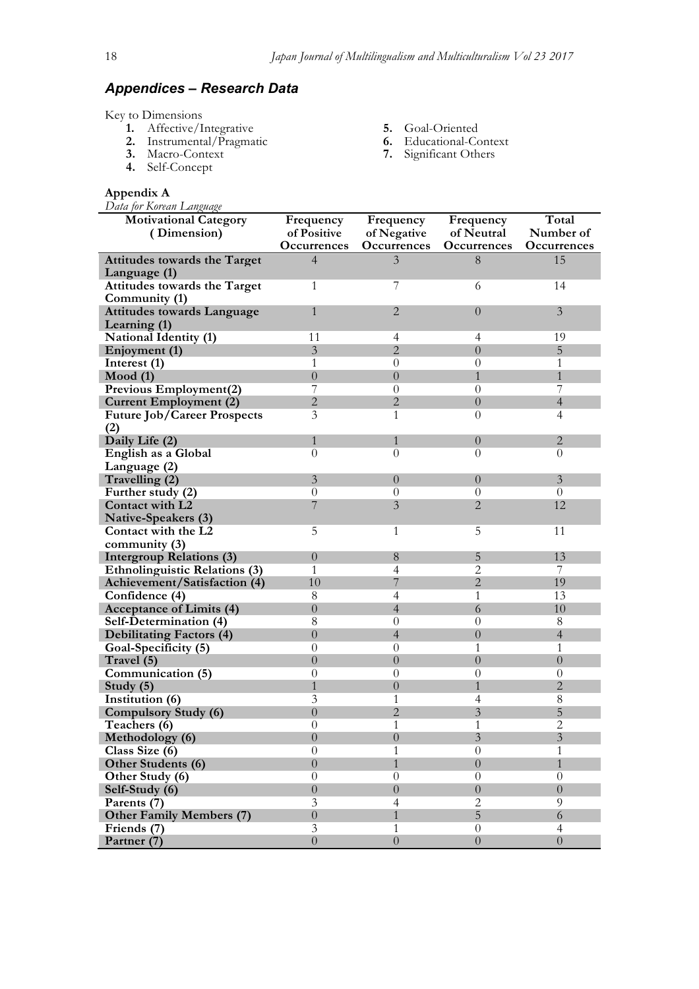# *Appendices – Research Data*

Key to Dimensions

- **1.** Affective/Integrative
- **2.** Instrumental/Pragmatic
- **3.** Macro-Context
- **4.** Self-Concept

#### **Appendix A**

*Data for Korean Language* 

- **5.** Goal-Oriented
- **6.** Educational-Context
- **7.** Significant Others

| Data for Korean Language<br><b>Motivational Category</b><br>(Dimension) | Frequency<br>of Positive | Frequency<br>of Negative | Frequency<br>of Neutral | Total<br>Number of |
|-------------------------------------------------------------------------|--------------------------|--------------------------|-------------------------|--------------------|
|                                                                         | Occurrences              | Occurrences              | Occurrences             | Occurrences        |
| Attitudes towards the Target<br>Language (1)                            | $\overline{4}$           | 3                        | 8                       | 15                 |
| Attitudes towards the Target<br>Community (1)                           | 1                        | 7                        | 6                       | 14                 |
| <b>Attitudes towards Language</b><br>Learning (1)                       | $\mathbf{1}$             | $\overline{2}$           | $\theta$                | 3                  |
| <b>National Identity (1)</b>                                            | 11                       | $\overline{4}$           | $\overline{4}$          | 19                 |
| Enjoyment (1)                                                           | $\overline{3}$           | $\overline{2}$           | $\overline{0}$          | $\mathbf 5$        |
| Interest (1)                                                            | 1                        | $\theta$                 | $\theta$                | 1                  |
| Mod(1)                                                                  | $\overline{0}$           | $\theta$                 | $\mathbf{1}$            | $\mathbf{1}$       |
| Previous Employment(2)                                                  | 7                        | $\theta$                 | $\theta$                | 7                  |
| <b>Current Employment (2)</b>                                           | $\overline{2}$           | $\overline{2}$           | $\overline{0}$          | $\overline{4}$     |
| <b>Future Job/Career Prospects</b>                                      | $\overline{\mathbf{3}}$  | 1                        | $\overline{0}$          | $\overline{4}$     |
| (2)                                                                     |                          |                          |                         |                    |
| Daily Life (2)                                                          | 1                        | 1                        | $\overline{0}$          | $\overline{2}$     |
| English as a Global                                                     | $\theta$                 | $\overline{0}$           | $\theta$                | $\Omega$           |
| Language (2)                                                            |                          |                          |                         |                    |
| Travelling (2)                                                          | 3                        | $\boldsymbol{0}$         | $\overline{0}$          | 3                  |
| Further study (2)                                                       | $\overline{0}$           | $\overline{0}$           | $\overline{0}$          | $\theta$           |
| Contact with L2                                                         | 7                        | $\overline{3}$           | $\overline{2}$          | 12                 |
| Native-Speakers (3)                                                     |                          |                          |                         |                    |
| Contact with the L2                                                     | 5                        | 1                        | 5                       | 11                 |
| community (3)                                                           |                          |                          |                         |                    |
| <b>Intergroup Relations (3)</b>                                         | $\boldsymbol{0}$         | 8                        | $\overline{5}$          | 13                 |
| <b>Ethnolinguistic Relations (3)</b>                                    | 1                        | 4                        | 2                       | 7                  |
| Achievement/Satisfaction (4)                                            | 10                       | 7                        | $\overline{2}$          | 19                 |
| Confidence (4)                                                          | 8                        | 4                        | 1                       | 13                 |
| <b>Acceptance of Limits (4)</b>                                         | $\theta$                 | $\overline{4}$           | 6                       | 10                 |
| Self-Determination (4)                                                  | $8\,$                    | $\theta$                 | $\theta$                | 8                  |
| <b>Debilitating Factors (4)</b>                                         | $\boldsymbol{0}$         | $\overline{4}$           | $\overline{0}$          | $\overline{4}$     |
| Goal-Specificity (5)                                                    | $\theta$                 | $\theta$                 | 1                       | $\mathbf{1}$       |
| Travel (5)                                                              | $\boldsymbol{0}$         | $\boldsymbol{0}$         | $\overline{0}$          | $\overline{0}$     |
| Communication (5)                                                       | $\theta$                 | $\overline{0}$           | $\theta$                | $\overline{0}$     |
| Study (5)                                                               | $\mathbf{1}$             | $\theta$                 | $\mathbf{1}$            | $\overline{2}$     |
| Institution (6)                                                         | 3                        | 1                        | $\overline{4}$          | 8                  |
| <b>Compulsory Study (6)</b>                                             | $\overline{0}$           | $\overline{2}$           | $\overline{3}$          | 5                  |
| Teachers (6)                                                            | $\theta$                 | 1                        | 1                       | $\overline{2}$     |
| Methodology (6)                                                         | $\overline{0}$           | $\boldsymbol{0}$         | $\overline{3}$          | $\mathfrak{Z}$     |
| Class Size (6)                                                          | $\overline{0}$           | 1                        | $\theta$                | $\mathbf{1}$       |
| Other Students (6)                                                      | $\overline{0}$           | $\mathbf{1}$             | $\boldsymbol{0}$        | $\mathbf{1}$       |
| Other Study (6)                                                         | $\boldsymbol{0}$         | $\boldsymbol{0}$         | $\boldsymbol{0}$        | $\theta$           |
| Self-Study (6)                                                          | $\overline{0}$           | $\overline{0}$           | $\overline{0}$          | $\overline{0}$     |
| Parents (7)                                                             | 3                        | $\overline{4}$           | $\overline{2}$          | 9                  |
| <b>Other Family Members (7)</b>                                         | $\boldsymbol{0}$         | $\mathbf{1}$             | 5                       | 6                  |
| Friends (7)                                                             | 3                        | 1                        | $\overline{0}$          | $\overline{4}$     |
| Partner (7)                                                             | $\overline{0}$           | $\boldsymbol{0}$         | $\theta$                | $\overline{0}$     |